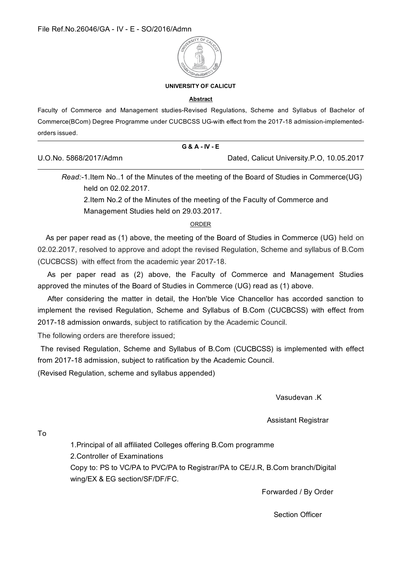

#### **UNIVERSITY OF CALICUT**

#### **Abstract**

Faculty of Commerce and Management studies-Revised Regulations, Scheme and Syllabus of Bachelor of Commerce(BCom) Degree Programme under CUCBCSS UG-with effect from the 2017-18 admission-implementedorders issued.

|                        | <b>G&amp;A-IV-E</b> |                                           |  |
|------------------------|---------------------|-------------------------------------------|--|
| U.O.No. 5868/2017/Admn |                     | Dated, Calicut University.P.O, 10.05.2017 |  |

Read:-1.Item No., 1 of the Minutes of the meeting of the Board of Studies in Commerce (UG) held on 02.02.2017.

2. Item No. 2 of the Minutes of the meeting of the Faculty of Commerce and Management Studies held on 29.03.2017.

**ORDER** 

As per paper read as (1) above, the meeting of the Board of Studies in Commerce (UG) held on 02.02.2017, resolved to approve and adopt the revised Regulation, Scheme and syllabus of B.Com (CUCBCSS) with effect from the academic year 2017-18.

As per paper read as (2) above, the Faculty of Commerce and Management Studies approved the minutes of the Board of Studies in Commerce (UG) read as (1) above.

After considering the matter in detail, the Hon'ble Vice Chancellor has accorded sanction to implement the revised Regulation, Scheme and Syllabus of B.Com (CUCBCSS) with effect from 2017-18 admission onwards, subject to ratification by the Academic Council.

The following orders are therefore issued;

The revised Regulation, Scheme and Syllabus of B.Com (CUCBCSS) is implemented with effect from 2017-18 admission, subject to ratification by the Academic Council.

(Revised Regulation, scheme and syllabus appended)

Vasudevan K

**Assistant Registrar** 

To

1. Principal of all affiliated Colleges offering B. Com programme 2. Controller of Examinations Copy to: PS to VC/PA to PVC/PA to Registrar/PA to CE/J.R, B.Com branch/Digital wing/EX & EG section/SF/DF/FC.

Forwarded / By Order

**Section Officer**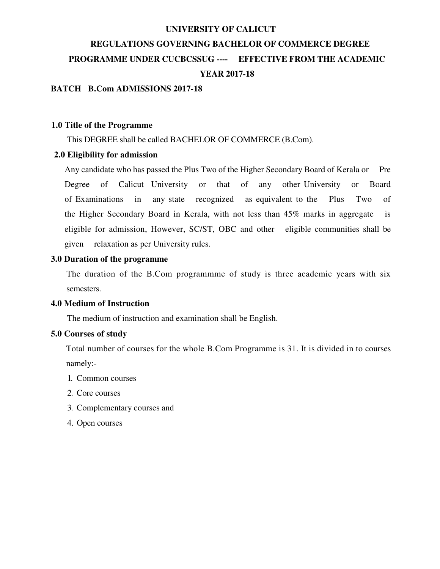#### **UNIVERSITY OF CALICUT**

# REGULATIONS GOVERNING BACHELOR OF COMMERCE DEGREE PROGRAMME UNDER CUCBCSSUG ---- EFFECTIVE FROM THE ACADEMIC **YEAR 2017-18**

# **BATCH B.Com ADMISSIONS 2017-18**

#### 1.0 Title of the Programme

This DEGREE shall be called BACHELOR OF COMMERCE (B.Com).

### 2.0 Eligibility for admission

Any candidate who has passed the Plus Two of the Higher Secondary Board of Kerala or Pre of Calicut University that  $\sigma$ f other University Degree  $\alpha$ any  $\alpha$ Board recognized of Examinations  $in$ any state as equivalent to the Plus Two  $\alpha$ f the Higher Secondary Board in Kerala, with not less than 45% marks in aggregate is eligible for admission, However, SC/ST, OBC and other eligible communities shall be given relaxation as per University rules.

### 3.0 Duration of the programme

The duration of the B.Com programmme of study is three academic years with six semesters.

### 4.0 Medium of Instruction

The medium of instruction and examination shall be English.

#### 5.0 Courses of study

Total number of courses for the whole B.Com Programme is 31. It is divided in to courses namely:-

- 1. Common courses
- 2. Core courses
- 3. Complementary courses and
- 4. Open courses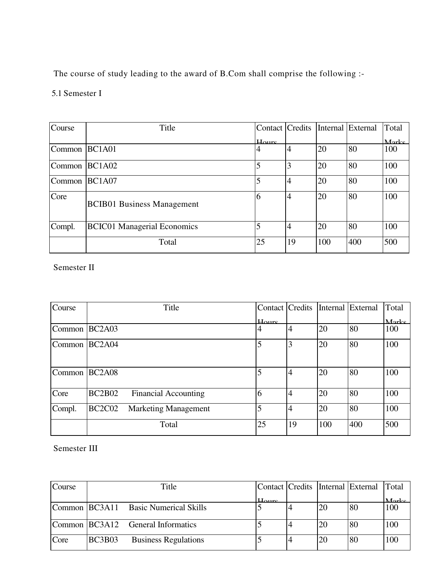The course of study leading to the award of B.Com shall comprise the following :-

5.1 Semester I

| Course | Title                              | Contact Credits   |                |     | Internal External | Total |
|--------|------------------------------------|-------------------|----------------|-----|-------------------|-------|
|        |                                    | $H_{\text{ourc}}$ |                |     |                   | Marke |
| Common | <b>BC1A01</b>                      | 4                 | $\overline{4}$ | 20  | 80                | 100   |
| Common | <b>BC1A02</b>                      | 5                 | 3              | 20  | 80                | 100   |
| Common | <b>BC1A07</b>                      | 5                 | $\overline{4}$ | 20  | 80                | 100   |
| Core   | <b>BCIB01 Business Management</b>  | 6                 | $\overline{4}$ | 20  | 80                | 100   |
| Compl. | <b>BCIC01 Managerial Economics</b> |                   | $\overline{4}$ | 20  | 80                | 100   |
|        | Total                              | 25                | 19             | 100 | 400               | 500   |

Semester II

| Course        |                                 | Title                       | Contact   Credits |                |     | Internal External | Total |
|---------------|---------------------------------|-----------------------------|-------------------|----------------|-----|-------------------|-------|
|               |                                 |                             | Houre             |                |     |                   | Marke |
| Common BC2A03 |                                 |                             | 4                 | $\overline{4}$ | 20  | 80                | 100   |
| Common BC2A04 |                                 |                             | 5                 | 3              | 20  | 80                | 100   |
| Common BC2A08 |                                 |                             | 5                 | $\overline{4}$ | 20  | 80                | 100   |
| Core          | <b>BC2B02</b>                   | <b>Financial Accounting</b> | 6                 | $\overline{4}$ | 20  | 80                | 100   |
| Compl.        | BC <sub>2</sub> C <sub>02</sub> | <b>Marketing Management</b> | 5                 | $\overline{4}$ | 20  | 80                | 100   |
|               |                                 | Total                       | 25                | 19             | 100 | 400               | 500   |

Semester III

| Course |               | Title                                |                                 |    | Contact   Credits   Internal   External   Total |          |
|--------|---------------|--------------------------------------|---------------------------------|----|-------------------------------------------------|----------|
|        |               |                                      | $_{\text{H} \alpha \text{ure}}$ |    |                                                 | $M$ orke |
|        |               | Common BC3A11 Basic Numerical Skills |                                 | 20 | 80                                              | 100      |
|        |               | Common BC3A12 General Informatics    |                                 | 20 | 80                                              | 100      |
| Core   | <b>BC3B03</b> | <b>Business Regulations</b>          |                                 | 20 | 80                                              | 100      |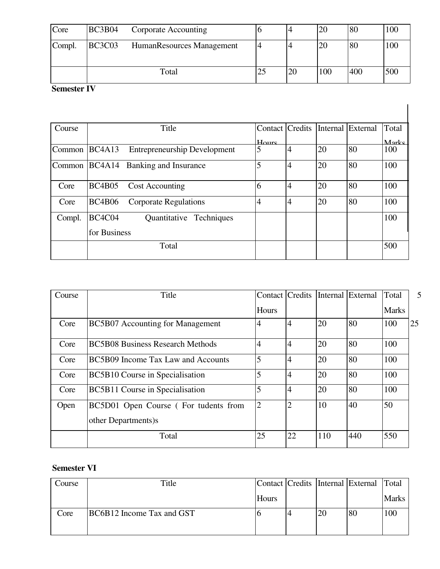| Core   | <b>BC3B04</b>                              | Corporate Accounting |    |    | 20  | 80  | 100 |
|--------|--------------------------------------------|----------------------|----|----|-----|-----|-----|
| Compl. | <b>BC3C03</b><br>HumanResources Management |                      |    |    | 20  | 80  | 100 |
|        |                                            | Total                | 23 | 20 | 100 | 400 | 500 |

# Semester IV

| Course |                                 | Title                               | Contact Credits |                | Internal | External | Total |
|--------|---------------------------------|-------------------------------------|-----------------|----------------|----------|----------|-------|
|        |                                 |                                     | $H_{\rm OUI}$   |                |          |          | Marks |
| Common | BC4A13                          | <b>Entrepreneurship Development</b> | 5               | $\overline{4}$ | 20       | 80       | 100   |
| Common | BC <sub>4</sub> A <sub>14</sub> | Banking and Insurance               | 5               | $\overline{4}$ | 20       | 80       | 100   |
| Core   | <b>BC4B05</b>                   | <b>Cost Accounting</b>              | 6               | $\overline{4}$ | 20       | 80       | 100   |
| Core   | <b>BC4B06</b>                   | <b>Corporate Regulations</b>        | 4               | $\overline{4}$ | 20       | 80       | 100   |
| Compl. | BC4C04                          | Quantitative Techniques             |                 |                |          |          | 100   |
|        | for Business                    |                                     |                 |                |          |          |       |
|        |                                 | Total                               |                 |                |          |          | 500   |

| Course | Title                                   | <b>Contact Credits</b> |                |     | Internal External | Total        | 5  |
|--------|-----------------------------------------|------------------------|----------------|-----|-------------------|--------------|----|
|        |                                         | Hours                  |                |     |                   | <b>Marks</b> |    |
| Core   | <b>BC5B07</b> Accounting for Management | $\overline{4}$         | $\overline{4}$ | 20  | 80                | 100          | 25 |
| Core   | <b>BC5B08 Business Research Methods</b> | $\overline{4}$         | $\overline{4}$ | 20  | 80                | 100          |    |
| Core   | BC5B09 Income Tax Law and Accounts      | 5                      | $\overline{4}$ | 20  | 80                | 100          |    |
| Core   | <b>BC5B10 Course in Specialisation</b>  | 5                      | $\overline{4}$ | 20  | 80                | 100          |    |
| Core   | <b>BC5B11 Course in Specialisation</b>  | 5                      | $\overline{4}$ | 20  | 80                | 100          |    |
| Open   | BC5D01 Open Course (For tudents from    | $\overline{2}$         | $\overline{2}$ | 10  | 40                | 50           |    |
|        | other Departments)s                     |                        |                |     |                   |              |    |
|        | Total                                   | 25                     | 22             | 110 | 440               | 550          |    |

# **Semester VI**

| Course | Title                     |       |    | Contact Credits Internal External Total |              |
|--------|---------------------------|-------|----|-----------------------------------------|--------------|
|        |                           | Hours |    |                                         | <b>Marks</b> |
| Core   | BC6B12 Income Tax and GST |       | 20 | 80                                      | 100          |
|        |                           |       |    |                                         |              |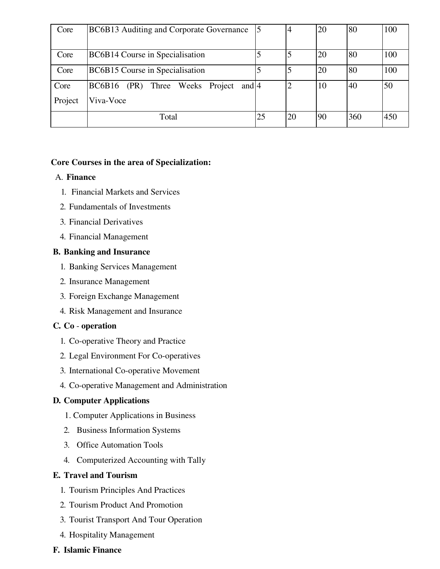| Core    | BC6B13 Auditing and Corporate Governance                 |    | 4  | 20 | 80  | 100 |
|---------|----------------------------------------------------------|----|----|----|-----|-----|
|         |                                                          |    |    |    |     |     |
| Core    | BC6B14 Course in Specialisation                          |    | 5  | 20 | 80  | 100 |
| Core    | BC6B15 Course in Specialisation                          |    |    | 20 | 80  | 100 |
| Core    | <b>BC6B16</b><br>Three Weeks Project<br>(PR)<br>and $ 4$ |    | 2  | 10 | 40  | 50  |
| Project | Viva-Voce                                                |    |    |    |     |     |
|         | Total                                                    | 25 | 20 | 90 | 360 | 450 |

# Core Courses in the area of Specialization:

# A. Finance

- 1. Financial Markets and Services
- 2. Fundamentals of Investments
- 3. Financial Derivatives
- 4. Financial Management

# **B. Banking and Insurance**

- 1. Banking Services Management
- 2. Insurance Management
- 3. Foreign Exchange Management
- 4. Risk Management and Insurance

# C. Co - operation

- 1. Co-operative Theory and Practice
- 2. Legal Environment For Co-operatives
- 3. International Co-operative Movement
- 4. Co-operative Management and Administration

# **D. Computer Applications**

- 1. Computer Applications in Business
- 2. Business Information Systems
- 3. Office Automation Tools
- 4. Computerized Accounting with Tally

# **E. Travel and Tourism**

- 1. Tourism Principles And Practices
- 2. Tourism Product And Promotion
- 3. Tourist Transport And Tour Operation
- 4. Hospitality Management

# **F. Islamic Finance**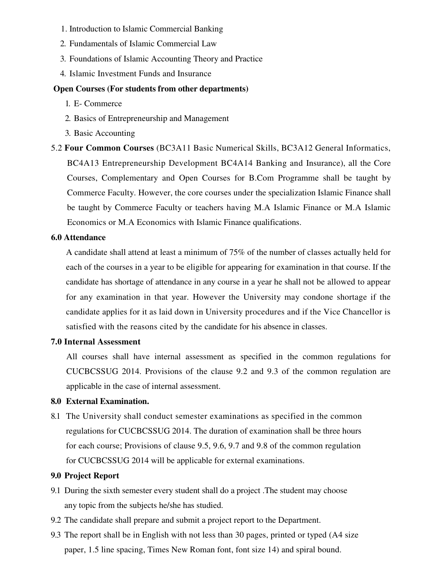- 1. Introduction to Islamic Commercial Banking
- 2. Fundamentals of Islamic Commercial Law
- 3. Foundations of Islamic Accounting Theory and Practice
- 4. Islamic Investment Funds and Insurance

# **Open Courses (For students from other departments)**

- 1. E-Commerce
- 2. Basics of Entrepreneurship and Management
- 3. Basic Accounting

5.2 Four Common Courses (BC3A11 Basic Numerical Skills, BC3A12 General Informatics, BC4A13 Entrepreneurship Development BC4A14 Banking and Insurance), all the Core Courses, Complementary and Open Courses for B.Com Programme shall be taught by Commerce Faculty. However, the core courses under the specialization Islamic Finance shall be taught by Commerce Faculty or teachers having M.A Islamic Finance or M.A Islamic Economics or M.A Economics with Islamic Finance qualifications.

# **6.0 Attendance**

A candidate shall attend at least a minimum of 75% of the number of classes actually held for each of the courses in a year to be eligible for appearing for examination in that course. If the candidate has shortage of attendance in any course in a year he shall not be allowed to appear for any examination in that year. However the University may condone shortage if the candidate applies for it as laid down in University procedures and if the Vice Chancellor is satisfied with the reasons cited by the candidate for his absence in classes.

# **7.0 Internal Assessment**

All courses shall have internal assessment as specified in the common regulations for CUCBCSSUG 2014. Provisions of the clause 9.2 and 9.3 of the common regulation are applicable in the case of internal assessment.

# 8.0 External Examination.

8.1 The University shall conduct semester examinations as specified in the common regulations for CUCBCSSUG 2014. The duration of examination shall be three hours for each course; Provisions of clause 9.5, 9.6, 9.7 and 9.8 of the common regulation for CUCBCSSUG 2014 will be applicable for external examinations.

# 9.0 Project Report

- 9.1 During the sixth semester every student shall do a project. The student may choose any topic from the subjects he/she has studied.
- 9.2 The candidate shall prepare and submit a project report to the Department.
- 9.3 The report shall be in English with not less than 30 pages, printed or typed (A4 size paper, 1.5 line spacing, Times New Roman font, font size 14) and spiral bound.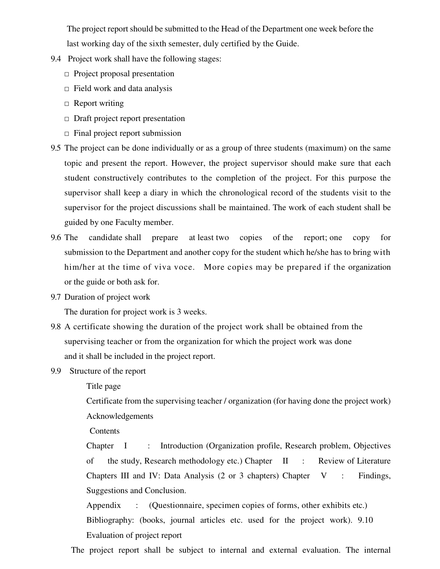The project report should be submitted to the Head of the Department one week before the last working day of the sixth semester, duly certified by the Guide.

- 9.4 Project work shall have the following stages:
	- $\Box$  Project proposal presentation
	- $\Box$  Field work and data analysis
	- $\Box$  Report writing
	- $\Box$  Draft project report presentation
	- $\Box$  Final project report submission
- 9.5 The project can be done individually or as a group of three students (maximum) on the same topic and present the report. However, the project supervisor should make sure that each student constructively contributes to the completion of the project. For this purpose the supervisor shall keep a diary in which the chronological record of the students visit to the supervisor for the project discussions shall be maintained. The work of each student shall be guided by one Faculty member.
- 9.6 The candidate shall prepare at least two copies of the report; one copy for submission to the Department and another copy for the student which he/she has to bring with him/her at the time of viva voce. More copies may be prepared if the organization or the guide or both ask for.
- 9.7 Duration of project work

The duration for project work is 3 weeks.

- 9.8 A certificate showing the duration of the project work shall be obtained from the supervising teacher or from the organization for which the project work was done and it shall be included in the project report.
- 9.9 Structure of the report

Title page

Certificate from the supervising teacher / organization (for having done the project work) Acknowledgements

Contents

Chapter I  $\mathbb{R}^{\mathbb{Z}}$ Introduction (Organization profile, Research problem, Objectives of the study, Research methodology etc.) Chapter II  $\mathbf{r}$ Review of Literature Chapters III and IV: Data Analysis  $(2 \text{ or } 3 \text{ chapters})$  Chapter  $V$ : Findings, Suggestions and Conclusion.

(Questionnaire, specimen copies of forms, other exhibits etc.) Appendix  $\ddot{\cdot}$ Bibliography: (books, journal articles etc. used for the project work). 9.10 Evaluation of project report

The project report shall be subject to internal and external evaluation. The internal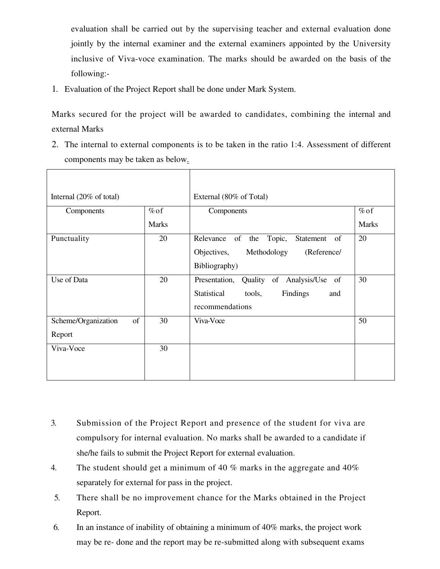evaluation shall be carried out by the supervising teacher and external evaluation done jointly by the internal examiner and the external examiners appointed by the University inclusive of Viva-voce examination. The marks should be awarded on the basis of the following:-

1. Evaluation of the Project Report shall be done under Mark System.

Marks secured for the project will be awarded to candidates, combining the internal and external Marks

2. The internal to external components is to be taken in the ratio 1:4. Assessment of different components may be taken as below.

| Internal (20% of total)   |              | External (80% of Total)                              |              |
|---------------------------|--------------|------------------------------------------------------|--------------|
| Components                | $\%$ of      | Components                                           | $%$ of       |
|                           | <b>Marks</b> |                                                      | <b>Marks</b> |
| Punctuality               | 20           | Relevance of the<br>Topic,<br>Statement<br>of        | 20           |
|                           |              | Objectives,<br>Methodology<br>(Reference/            |              |
|                           |              | Bibliography)                                        |              |
| Use of Data               | 20           | of<br>Analysis/Use<br>Presentation,<br>Quality<br>of | 30           |
|                           |              | Findings<br>Statistical<br>tools,<br>and             |              |
|                           |              | recommendations                                      |              |
| Scheme/Organization<br>of | 30           | Viva-Voce                                            | 50           |
| Report                    |              |                                                      |              |
| Viva-Voce                 | 30           |                                                      |              |
|                           |              |                                                      |              |
|                           |              |                                                      |              |

- $\overline{3}$ . Submission of the Project Report and presence of the student for viva are compulsory for internal evaluation. No marks shall be awarded to a candidate if she/he fails to submit the Project Report for external evaluation.
- $\overline{4}$ . The student should get a minimum of 40  $%$  marks in the aggregate and 40 $%$ separately for external for pass in the project.
- 5. There shall be no improvement chance for the Marks obtained in the Project Report.
- 6. In an instance of inability of obtaining a minimum of 40% marks, the project work may be re- done and the report may be re-submitted along with subsequent exams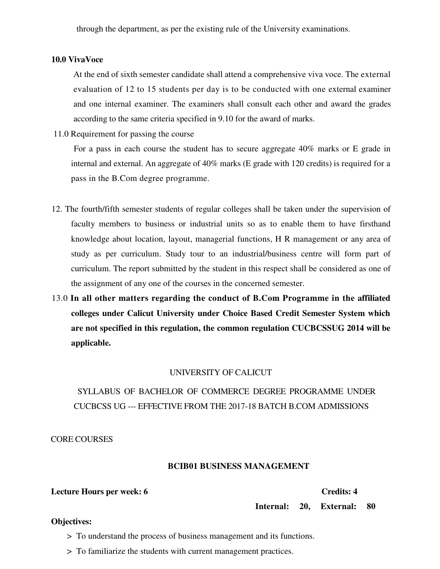through the department, as per the existing rule of the University examinations.

#### **10.0 VivaVoce**

At the end of sixth semester candidate shall attend a comprehensive viva voce. The external evaluation of 12 to 15 students per day is to be conducted with one external examiner and one internal examiner. The examiners shall consult each other and award the grades according to the same criteria specified in 9.10 for the award of marks.

11.0 Requirement for passing the course

For a pass in each course the student has to secure aggregate 40% marks or E grade in internal and external. An aggregate of 40% marks (E grade with 120 credits) is required for a pass in the B.Com degree programme.

- 12. The fourth/fifth semester students of regular colleges shall be taken under the supervision of faculty members to business or industrial units so as to enable them to have firsthand knowledge about location, layout, managerial functions, H R management or any area of study as per curriculum. Study tour to an industrial/business centre will form part of curriculum. The report submitted by the student in this respect shall be considered as one of the assignment of any one of the courses in the concerned semester.
- 13.0 In all other matters regarding the conduct of B.Com Programme in the affiliated colleges under Calicut University under Choice Based Credit Semester System which are not specified in this regulation, the common regulation CUCBCSSUG 2014 will be applicable.

#### UNIVERSITY OF CALICUT

# SYLLABUS OF BACHELOR OF COMMERCE DEGREE PROGRAMME UNDER **CUCBCSS UG --- EFFECTIVE FROM THE 2017-18 BATCH B.COM ADMISSIONS**

**CORE COURSES** 

# **BCIB01 BUSINESS MANAGEMENT**

Lecture Hours per week: 6

#### **Credits: 4**

Internal: 20, External: 80

#### **Objectives:**

> To understand the process of business management and its functions.

> To familiarize the students with current management practices.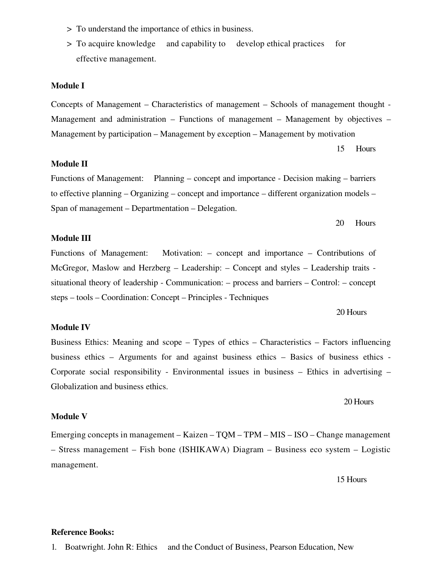- > To understand the importance of ethics in business.
- > To acquire knowledge and capability to develop ethical practices for effective management.

#### **Module I**

Concepts of Management – Characteristics of management – Schools of management thought -Management and administration – Functions of management – Management by objectives – Management by participation – Management by exception – Management by motivation

> 15 **Hours**

#### **Module II**

Functions of Management: Planning – concept and importance - Decision making – barriers to effective planning – Organizing – concept and importance – different organization models – Span of management – Departmentation – Delegation.

#### 20 Hours

### **Module III**

Functions of Management: Motivation:  $-$  concept and importance  $-$  Contributions of McGregor, Maslow and Herzberg – Leadership: – Concept and styles – Leadership traits situational theory of leadership - Communication: – process and barriers – Control: – concept steps – tools – Coordination: Concept – Principles - Techniques

20 Hours

#### **Module IV**

Business Ethics: Meaning and scope – Types of ethics – Characteristics – Factors influencing business ethics – Arguments for and against business ethics – Basics of business ethics – Corporate social responsibility - Environmental issues in business – Ethics in advertising – Globalization and business ethics.

20 Hours

#### **Module V**

Emerging concepts in management – Kaizen – TQM – TPM – MIS – ISO – Change management - Stress management - Fish bone (ISHIKAWA) Diagram - Business eco system - Logistic management.

15 Hours

#### **Reference Books:**

1. Boatwright. John R: Ethics and the Conduct of Business, Pearson Education, New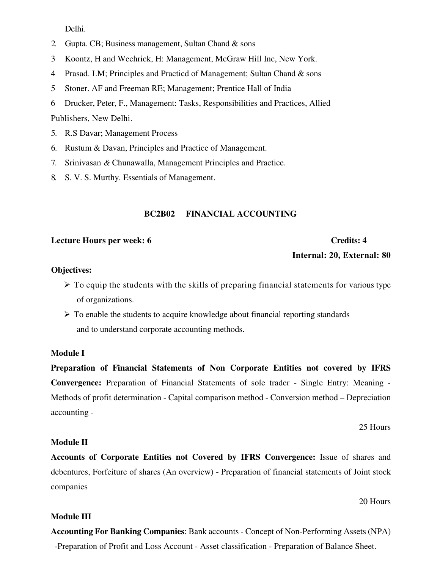Delhi.

- 2. Gupta. CB; Business management, Sultan Chand  $\&$  sons
- 3 Koontz, H and Wechrick, H: Management, McGraw Hill Inc, New York.
- Prasad. LM; Principles and Practicd of Management; Sultan Chand & sons  $\overline{4}$
- Stoner. AF and Freeman RE; Management; Prentice Hall of India  $5<sup>1</sup>$
- Drucker, Peter, F., Management: Tasks, Responsibilities and Practices, Allied 6

Publishers, New Delhi.

- 5. R.S Davar; Management Process
- 6. Rustum & Davan, Principles and Practice of Management.
- 7. Srinivasan & Chunawalla, Management Principles and Practice.
- 8. S. V. S. Murthy. Essentials of Management.

### **BC2B02 FINANCIAL ACCOUNTING**

#### Lecture Hours per week: 6

#### **Credits: 4**

Internal: 20, External: 80

#### **Objectives:**

- $\triangleright$  To equip the students with the skills of preparing financial statements for various type of organizations.
- $\triangleright$  To enable the students to acquire knowledge about financial reporting standards and to understand corporate accounting methods.

#### **Module I**

Preparation of Financial Statements of Non Corporate Entities not covered by IFRS Convergence: Preparation of Financial Statements of sole trader - Single Entry: Meaning -Methods of profit determination - Capital comparison method - Conversion method – Depreciation accounting -

25 Hours

# **Module II**

Accounts of Corporate Entities not Covered by IFRS Convergence: Issue of shares and debentures, Forfeiture of shares (An overview) - Preparation of financial statements of Joint stock companies

#### 20 Hours

#### **Module III**

**Accounting For Banking Companies: Bank accounts - Concept of Non-Performing Assets (NPA)** -Preparation of Profit and Loss Account - Asset classification - Preparation of Balance Sheet.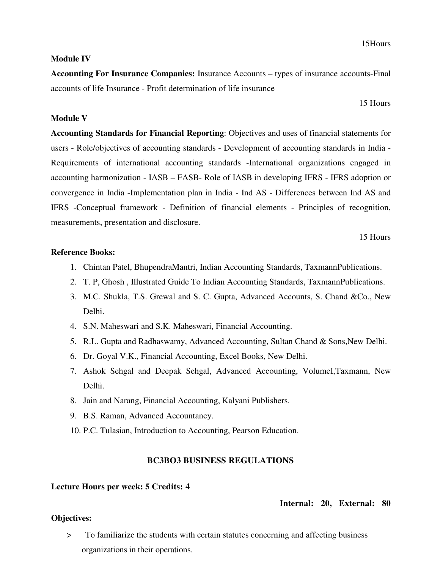# **Module IV**

**Accounting For Insurance Companies:** Insurance Accounts – types of insurance accounts-Final accounts of life Insurance - Profit determination of life insurance

15 Hours

# **Module V**

**Accounting Standards for Financial Reporting:** Objectives and uses of financial statements for users - Role/objectives of accounting standards - Development of accounting standards in India -Requirements of international accounting standards -International organizations engaged in accounting harmonization - IASB – FASB- Role of IASB in developing IFRS - IFRS adoption or convergence in India -Implementation plan in India - Ind AS - Differences between Ind AS and IFRS -Conceptual framework - Definition of financial elements - Principles of recognition, measurements, presentation and disclosure.

15 Hours

### **Reference Books:**

- 1. Chintan Patel, BhupendraMantri, Indian Accounting Standards, TaxmannPublications.
- 2. T. P, Ghosh, Illustrated Guide To Indian Accounting Standards, TaxmannPublications.
- 3. M.C. Shukla, T.S. Grewal and S. C. Gupta, Advanced Accounts, S. Chand & Co., New Delhi.
- 4. S.N. Maheswari and S.K. Maheswari, Financial Accounting.
- 5. R.L. Gupta and Radhaswamy, Advanced Accounting, Sultan Chand & Sons, New Delhi.
- 6. Dr. Goyal V.K., Financial Accounting, Excel Books, New Delhi.
- 7. Ashok Sehgal and Deepak Sehgal, Advanced Accounting, VolumeI, Taxmann, New Delhi.
- 8. Jain and Narang, Financial Accounting, Kalyani Publishers.
- 9. B.S. Raman, Advanced Accountancy.
- 10. P.C. Tulasian, Introduction to Accounting, Pearson Education.

# **BC3BO3 BUSINESS REGULATIONS**

# **Lecture Hours per week: 5 Credits: 4**

# Internal: 20, External: 80

# **Objectives:**

To familiarize the students with certain statutes concerning and affecting business  $\geq$ organizations in their operations.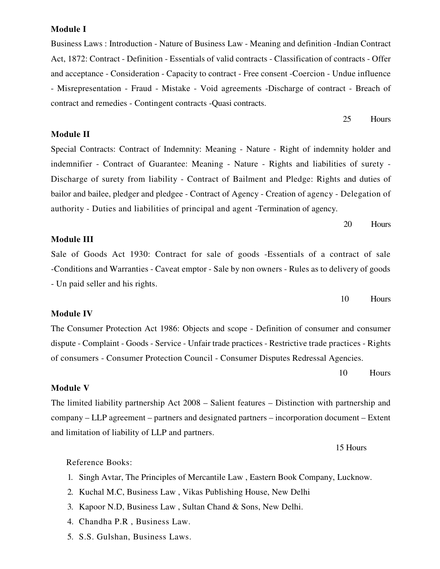#### **Module I**

Business Laws: Introduction - Nature of Business Law - Meaning and definition -Indian Contract Act, 1872: Contract - Definition - Essentials of valid contracts - Classification of contracts - Offer and acceptance - Consideration - Capacity to contract - Free consent - Coercion - Undue influence - Misrepresentation - Fraud - Mistake - Void agreements -Discharge of contract - Breach of contract and remedies - Contingent contracts - Quasi contracts.

**Module II** 

Special Contracts: Contract of Indemnity: Meaning - Nature - Right of indemnity holder and indemnifier - Contract of Guarantee: Meaning - Nature - Rights and liabilities of surety -Discharge of surety from liability - Contract of Bailment and Pledge: Rights and duties of bailor and bailee, pledger and pledgee - Contract of Agency - Creation of agency - Delegation of authority - Duties and liabilities of principal and agent - Termination of agency.

> 20 Hours

Hours

25

# **Module III**

Sale of Goods Act 1930: Contract for sale of goods -Essentials of a contract of sale -Conditions and Warranties - Caveat emptor - Sale by non owners - Rules as to delivery of goods - Un paid seller and his rights.

> 10 Hours

#### **Module IV**

The Consumer Protection Act 1986: Objects and scope - Definition of consumer and consumer dispute - Complaint - Goods - Service - Unfair trade practices - Restrictive trade practices - Rights of consumers - Consumer Protection Council - Consumer Disputes Redressal Agencies.

> 10 Hours

#### **Module V**

The limited liability partnership Act 2008 – Salient features – Distinction with partnership and company – LLP agreement – partners and designated partners – incorporation document – Extent and limitation of liability of LLP and partners.

15 Hours

#### Reference Books:

- 1. Singh Avtar, The Principles of Mercantile Law, Eastern Book Company, Lucknow.
- 2. Kuchal M.C, Business Law, Vikas Publishing House, New Delhi
- 3. Kapoor N.D. Business Law, Sultan Chand & Sons, New Delhi.
- 4. Chandha P.R, Business Law.
- 5. S.S. Gulshan, Business Laws.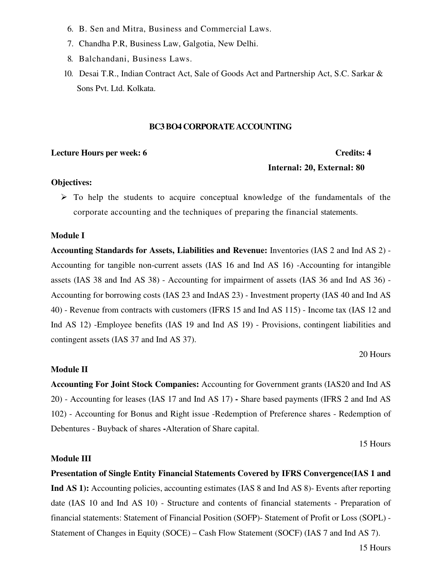- 6. B. Sen and Mitra, Business and Commercial Laws.
- 7. Chandha P.R, Business Law, Galgotia, New Delhi.
- 8. Balchandani, Business Laws.
- 10. Desai T.R., Indian Contract Act, Sale of Goods Act and Partnership Act, S.C. Sarkar & Sons Pvt. Ltd. Kolkata.

### **BC3 BO4 CORPORATE ACCOUNTING**

#### Lecture Hours per week: 6

#### **Credits: 4**

#### Internal: 20, External: 80

#### **Objectives:**

 $\triangleright$  To help the students to acquire conceptual knowledge of the fundamentals of the corporate accounting and the techniques of preparing the financial statements.

#### **Module I**

Accounting Standards for Assets, Liabilities and Revenue: Inventories (IAS 2 and Ind AS 2) -Accounting for tangible non-current assets (IAS 16 and Ind AS 16) -Accounting for intangible assets (IAS 38 and Ind AS 38) - Accounting for impairment of assets (IAS 36 and Ind AS 36) -Accounting for borrowing costs (IAS 23 and IndAS 23) - Investment property (IAS 40 and Ind AS 40) - Revenue from contracts with customers (IFRS 15 and Ind AS 115) - Income tax (IAS 12 and Ind AS 12) -Employee benefits (IAS 19 and Ind AS 19) - Provisions, contingent liabilities and contingent assets (IAS 37 and Ind AS 37).

#### 20 Hours

### **Module II**

Accounting For Joint Stock Companies: Accounting for Government grants (IAS20 and Ind AS 20) - Accounting for leases (IAS 17 and Ind AS 17) - Share based payments (IFRS 2 and Ind AS 102) - Accounting for Bonus and Right issue -Redemption of Preference shares - Redemption of Debentures - Buyback of shares - Alteration of Share capital.

15 Hours

### **Module III**

Presentation of Single Entity Financial Statements Covered by IFRS Convergence (IAS 1 and Ind AS 1): Accounting policies, accounting estimates (IAS 8 and Ind AS 8)- Events after reporting date (IAS 10 and Ind AS 10) - Structure and contents of financial statements - Preparation of financial statements: Statement of Financial Position (SOFP)- Statement of Profit or Loss (SOPL) -Statement of Changes in Equity (SOCE) – Cash Flow Statement (SOCF) (IAS 7 and Ind AS 7).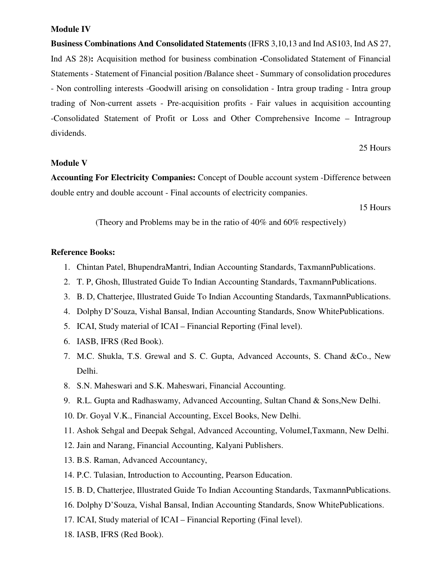#### **Module IV**

Business Combinations And Consolidated Statements (IFRS 3,10,13 and Ind AS103, Ind AS 27, Ind AS 28): Acquisition method for business combination -Consolidated Statement of Financial Statements - Statement of Financial position /Balance sheet - Summary of consolidation procedures - Non controlling interests -Goodwill arising on consolidation - Intra group trading - Intra group trading of Non-current assets - Pre-acquisition profits - Fair values in acquisition accounting -Consolidated Statement of Profit or Loss and Other Comprehensive Income - Intragroup dividends.

25 Hours

# **Module V**

Accounting For Electricity Companies: Concept of Double account system -Difference between double entry and double account - Final accounts of electricity companies.

15 Hours

(Theory and Problems may be in the ratio of 40% and 60% respectively)

#### **Reference Books:**

- 1. Chintan Patel, BhupendraMantri, Indian Accounting Standards, TaxmannPublications.
- 2. T. P. Ghosh, Illustrated Guide To Indian Accounting Standards, TaxmannPublications.
- 3. B. D, Chatterjee, Illustrated Guide To Indian Accounting Standards, TaxmannPublications.
- 4. Dolphy D'Souza, Vishal Bansal, Indian Accounting Standards, Snow WhitePublications.
- 5. ICAI, Study material of ICAI Financial Reporting (Final level).
- 6. IASB, IFRS (Red Book).
- 7. M.C. Shukla, T.S. Grewal and S. C. Gupta, Advanced Accounts, S. Chand & Co., New Delhi.
- 8. S.N. Maheswari and S.K. Maheswari, Financial Accounting.
- 9. R.L. Gupta and Radhaswamy, Advanced Accounting, Sultan Chand & Sons, New Delhi.
- 10. Dr. Goyal V.K., Financial Accounting, Excel Books, New Delhi.
- 11. Ashok Sehgal and Deepak Sehgal, Advanced Accounting, VolumeI, Taxmann, New Delhi.
- 12. Jain and Narang, Financial Accounting, Kalyani Publishers.
- 13. B.S. Raman, Advanced Accountancy,
- 14. P.C. Tulasian, Introduction to Accounting, Pearson Education.
- 15. B. D, Chatterjee, Illustrated Guide To Indian Accounting Standards, TaxmannPublications.
- 16. Dolphy D'Souza, Vishal Bansal, Indian Accounting Standards, Snow WhitePublications.
- 17. ICAI, Study material of ICAI Financial Reporting (Final level).
- 18. IASB, IFRS (Red Book).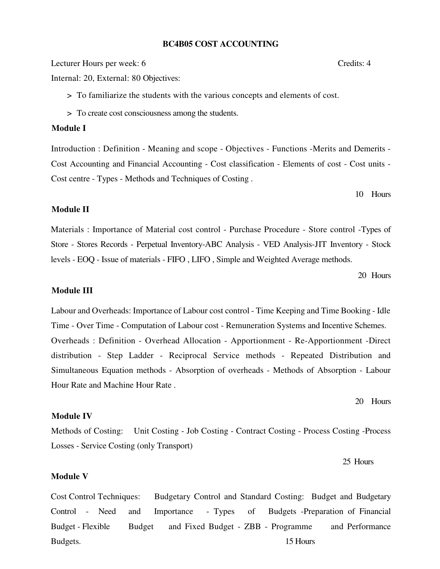#### **BC4B05 COST ACCOUNTING**

Lecturer Hours per week: 6

Internal: 20, External: 80 Objectives:

> To familiarize the students with the various concepts and elements of cost.

> To create cost consciousness among the students.

# Module I

Introduction : Definition - Meaning and scope - Objectives - Functions -Merits and Demerits -Cost Accounting and Financial Accounting - Cost classification - Elements of cost - Cost units -Cost centre - Types - Methods and Techniques of Costing.

10 Hours

# **Module II**

Materials : Importance of Material cost control - Purchase Procedure - Store control -Types of Store - Stores Records - Perpetual Inventory-ABC Analysis - VED Analysis-JIT Inventory - Stock levels - EOQ - Issue of materials - FIFO, LIFO, Simple and Weighted Average methods.

20 Hours

#### **Module III**

Labour and Overheads: Importance of Labour cost control - Time Keeping and Time Booking - Idle Time - Over Time - Computation of Labour cost - Remuneration Systems and Incentive Schemes. Overheads: Definition - Overhead Allocation - Apportionment - Re-Apportionment -Direct distribution - Step Ladder - Reciprocal Service methods - Repeated Distribution and Simultaneous Equation methods - Absorption of overheads - Methods of Absorption - Labour Hour Rate and Machine Hour Rate.

20 Hours

#### **Module IV**

Methods of Costing: Unit Costing - Job Costing - Contract Costing - Process Costing - Process Losses - Service Costing (only Transport)

25 Hours

#### **Module V**

**Cost Control Techniques:** Budgetary Control and Standard Costing: Budget and Budgetary Budgets -Preparation of Financial Control - Need and Importance - Types  $\sigma$ Budget - Flexible and Fixed Budget - ZBB - Programme **Budget** and Performance Budgets. 15 Hours

#### Credits: 4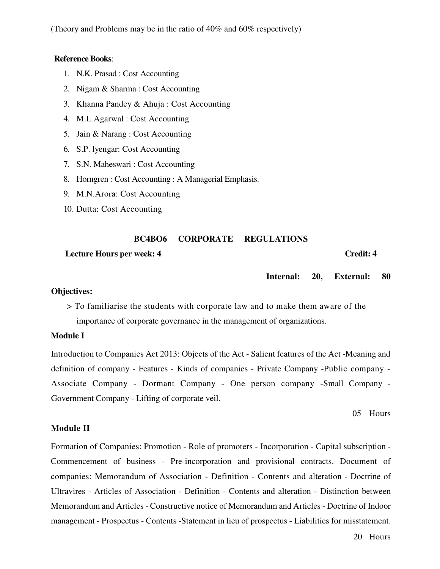(Theory and Problems may be in the ratio of 40% and 60% respectively)

#### **Reference Books:**

- 1. N.K. Prasad : Cost Accounting
- 2. Nigam & Sharma: Cost Accounting
- 3. Khanna Pandey & Ahuja: Cost Accounting
- 4. M.L Agarwal : Cost Accounting
- 5. Jain & Narang : Cost Accounting
- 6. S.P. lyengar: Cost Accounting
- 7. S.N. Maheswari: Cost Accounting
- 8. Horngren: Cost Accounting: A Managerial Emphasis.
- 9. M.N.Arora: Cost Accounting
- 10. Dutta: Cost Accounting

#### **CORPORATE BC4BO6 REGULATIONS**

#### **Lecture Hours per week: 4**

#### Credit: 4

#### Internal: 20. **External:** 80

#### **Objectives:**

> To familiarise the students with corporate law and to make them aware of the importance of corporate governance in the management of organizations.

# **Module I**

Introduction to Companies Act 2013: Objects of the Act - Salient features of the Act - Meaning and definition of company - Features - Kinds of companies - Private Company -Public company -Associate Company - Dormant Company - One person company -Small Company -Government Company - Lifting of corporate veil.

05 Hours

#### **Module II**

Formation of Companies: Promotion - Role of promoters - Incorporation - Capital subscription -Commencement of business - Pre-incorporation and provisional contracts. Document of companies: Memorandum of Association - Definition - Contents and alteration - Doctrine of Ultravires - Articles of Association - Definition - Contents and alteration - Distinction between Memorandum and Articles - Constructive notice of Memorandum and Articles - Doctrine of Indoor management - Prospectus - Contents - Statement in lieu of prospectus - Liabilities for misstatement.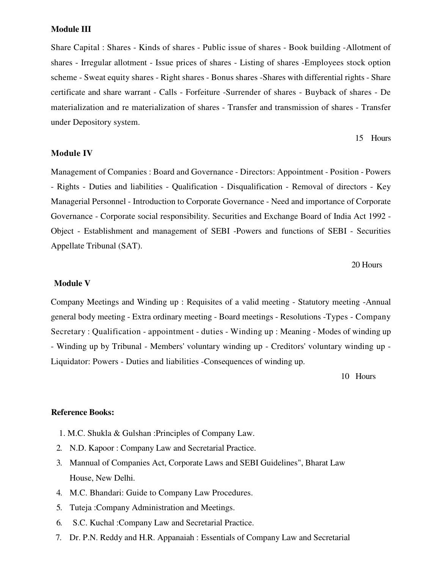#### **Module III**

Share Capital: Shares - Kinds of shares - Public issue of shares - Book building - Allotment of shares - Irregular allotment - Issue prices of shares - Listing of shares - Employees stock option scheme - Sweat equity shares - Right shares - Bonus shares - Shares with differential rights - Share certificate and share warrant - Calls - Forfeiture -Surrender of shares - Buyback of shares - De materialization and re materialization of shares - Transfer and transmission of shares - Transfer under Depository system.

#### 15 Hours

#### **Module IV**

Management of Companies: Board and Governance - Directors: Appointment - Position - Powers - Rights - Duties and liabilities - Qualification - Disqualification - Removal of directors - Key Managerial Personnel - Introduction to Corporate Governance - Need and importance of Corporate Governance - Corporate social responsibility. Securities and Exchange Board of India Act 1992 -Object - Establishment and management of SEBI -Powers and functions of SEBI - Securities Appellate Tribunal (SAT).

# 20 Hours

#### **Module V**

Company Meetings and Winding up : Requisites of a valid meeting - Statutory meeting - Annual general body meeting - Extra ordinary meeting - Board meetings - Resolutions - Types - Company Secretary: Qualification - appointment - duties - Winding up : Meaning - Modes of winding up - Winding up by Tribunal - Members' voluntary winding up - Creditors' voluntary winding up -Liquidator: Powers - Duties and liabilities - Consequences of winding up.

10 Hours

### **Reference Books:**

- 1. M.C. Shukla & Gulshan : Principles of Company Law.
- 2. N.D. Kapoor: Company Law and Secretarial Practice.
- 3. Mannual of Companies Act, Corporate Laws and SEBI Guidelines", Bharat Law House, New Delhi.
- 4. M.C. Bhandari: Guide to Company Law Procedures.
- 5. Tuteja: Company Administration and Meetings.
- S.C. Kuchal: Company Law and Secretarial Practice. 6.
- 7. Dr. P.N. Reddy and H.R. Appanaiah : Essentials of Company Law and Secretarial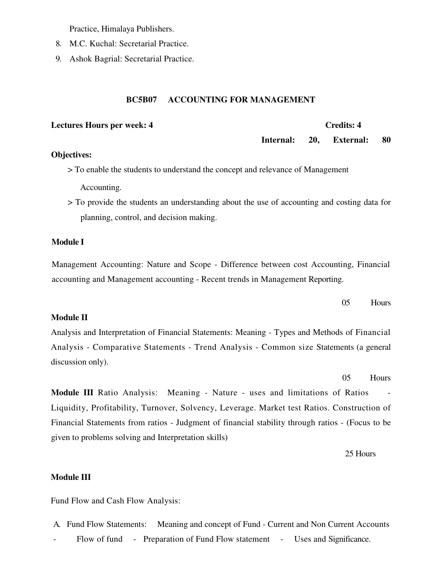Practice, Himalaya Publishers.

- 8. M.C. Kuchal: Secretarial Practice.
- 9. Ashok Bagrial: Secretarial Practice.

#### **ACCOUNTING FOR MANAGEMENT BC5B07**

#### **Lectures Hours per week: 4**

#### **Credits: 4**

Internal: 20. **External:** 80

### **Objectives:**

> To enable the students to understand the concept and relevance of Management Accounting.

> To provide the students an understanding about the use of accounting and costing data for planning, control, and decision making.

#### **Module I**

Management Accounting: Nature and Scope - Difference between cost Accounting, Financial accounting and Management accounting - Recent trends in Management Reporting.

#### 05 Hours

#### **Module II**

Analysis and Interpretation of Financial Statements: Meaning - Types and Methods of Financial Analysis - Comparative Statements - Trend Analysis - Common size Statements (a general discussion only).

> $0.5$ **Hours**

Module III Ratio Analysis: Meaning - Nature - uses and limitations of Ratios Liquidity, Profitability, Turnover, Solvency, Leverage. Market test Ratios. Construction of Financial Statements from ratios - Judgment of financial stability through ratios - (Focus to be given to problems solving and Interpretation skills)

25 Hours

#### **Module III**

Fund Flow and Cash Flow Analysis:

Meaning and concept of Fund - Current and Non Current Accounts A. Fund Flow Statements: Flow of fund - Preparation of Fund Flow statement - Uses and Significance.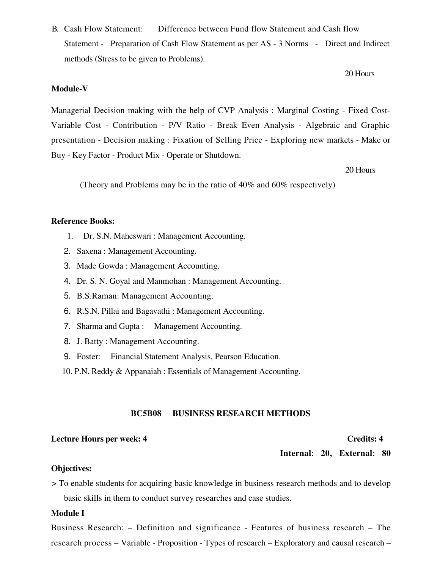**B.** Cash Flow Statement: Difference between Fund flow Statement and Cash flow Statement - Preparation of Cash Flow Statement as per AS - 3 Norms - Direct and Indirect methods (Stress to be given to Problems).

### **Module-V**

Managerial Decision making with the help of CVP Analysis: Marginal Costing - Fixed Cost-Variable Cost - Contribution - P/V Ratio - Break Even Analysis - Algebraic and Graphic presentation - Decision making : Fixation of Selling Price - Exploring new markets - Make or Buy - Key Factor - Product Mix - Operate or Shutdown.

20 Hours

(Theory and Problems may be in the ratio of  $40\%$  and  $60\%$  respectively)

#### **Reference Books:**

- 1. Dr. S.N. Maheswari: Management Accounting.
- 2. Saxena: Management Accounting.
- 3. Made Gowda: Management Accounting.
- 4. Dr. S. N. Goyal and Manmohan : Management Accounting.
- 5. B.S.Raman: Management Accounting.
- 6. R.S.N. Pillai and Bagavathi: Management Accounting.
- 7. Sharma and Gupta: Management Accounting.
- 8. J. Batty: Management Accounting.
- 9. Foster: Financial Statement Analysis, Pearson Education.
- 10. P.N. Reddy & Appanaiah : Essentials of Management Accounting.

#### **BUSINESS RESEARCH METHODS BC5B08**

#### **Lecture Hours per week: 4**

#### **Credits: 4**

Internal: 20, External: 80

#### **Objectives:**

> To enable students for acquiring basic knowledge in business research methods and to develop basic skills in them to conduct survey researches and case studies.

#### **Module I**

Business Research: – Definition and significance - Features of business research – The research process – Variable - Proposition - Types of research – Exploratory and causal research –

#### 20 Hours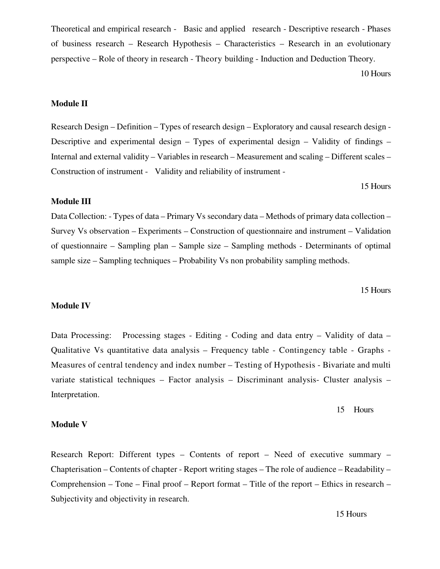Theoretical and empirical research - Basic and applied research - Descriptive research - Phases of business research – Research Hypothesis – Characteristics – Research in an evolutionary perspective – Role of theory in research - Theory building - Induction and Deduction Theory.

10 Hours

# **Module II**

Research Design – Definition – Types of research design – Exploratory and causal research design -Descriptive and experimental design  $-$  Types of experimental design  $-$  Validity of findings  $-$ Internal and external validity – Variables in research – Measurement and scaling – Different scales – Construction of instrument - Validity and reliability of instrument -

15 Hours

# **Module III**

Data Collection: - Types of data – Primary Vs secondary data – Methods of primary data collection – Survey Vs observation – Experiments – Construction of questionnaire and instrument – Validation of questionnaire – Sampling plan – Sample size – Sampling methods - Determinants of optimal sample size – Sampling techniques – Probability Vs non probability sampling methods.

15 Hours

### **Module IV**

Processing stages - Editing - Coding and data entry - Validity of data -Data Processing: Qualitative Vs quantitative data analysis - Frequency table - Contingency table - Graphs -Measures of central tendency and index number – Testing of Hypothesis - Bivariate and multi variate statistical techniques - Factor analysis - Discriminant analysis- Cluster analysis -Interpretation.

15 Hours

#### **Module V**

Research Report: Different types – Contents of report – Need of executive summary – Chapterisation – Contents of chapter - Report writing stages – The role of audience – Readability – Comprehension – Tone – Final proof – Report format – Title of the report – Ethics in research – Subjectivity and objectivity in research.

15 Hours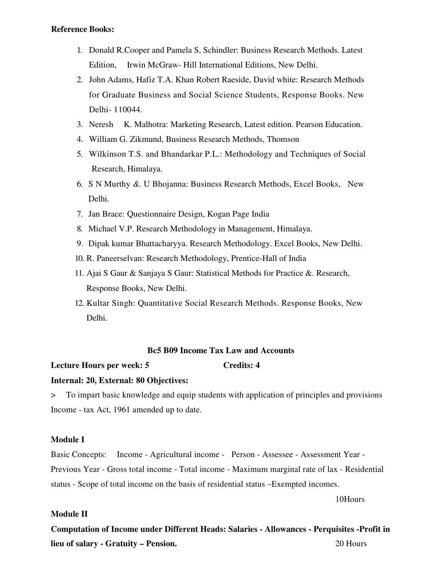#### **Reference Books:**

- 1. Donald R. Cooper and Pamela S, Schindler: Business Research Methods. Latest Irwin McGraw- Hill International Editions, New Delhi. Edition.
- 2. John Adams, Hafiz T.A. Khan Robert Raeside, David white: Research Methods for Graduate Business and Social Science Students, Response Books. New Delhi-110044.
- 3. Neresh K. Malhotra: Marketing Research, Latest edition. Pearson Education.
- 4. William G. Zikmund, Business Research Methods, Thomson
- 5. Wilkinson T.S. and Bhandarkar P.L.: Methodology and Techniques of Social Research, Himalaya.
- 6. S N Murthy &. U Bhojanna: Business Research Methods, Excel Books, New Delhi.
- 7. Jan Brace: Questionnaire Design, Kogan Page India
- 8. Michael V.P. Research Methodology in Management, Himalaya.
- 9. Dipak kumar Bhattacharyya. Research Methodology. Excel Books, New Delhi.
- 10. R. Paneerselvan: Research Methodology, Prentice-Hall of India
- 11. Ajai S Gaur & Sanjaya S Gaur: Statistical Methods for Practice & Research, Response Books, New Delhi.
- 12. Kultar Singh: Quantitative Social Research Methods. Response Books, New Delhi.

# **Bc5 B09 Income Tax Law and Accounts**

**Credits: 4** 

#### **Lecture Hours per week: 5**

#### Internal: 20, External: 80 Objectives:

To impart basic knowledge and equip students with application of principles and provisions  $\geq$ Income - tax Act, 1961 amended up to date.

#### **Module I**

Income - Agricultural income - Person - Assessee - Assessment Year -**Basic Concepts:** Previous Year - Gross total income - Total income - Maximum marginal rate of lax - Residential status - Scope of total income on the basis of residential status - Exempted incomes.

10Hours

#### Module II

Computation of Income under Different Heads: Salaries - Allowances - Perquisites -Profit in lieu of salary - Gratuity - Pension. 20 Hours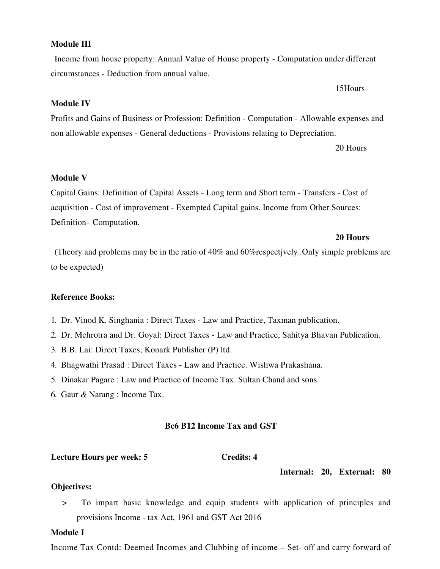#### Income Tax Contd: Deemed Incomes and Clubbing of income – Set- off and carry forward of

#### **Module III**

Income from house property: Annual Value of House property - Computation under different circumstances - Deduction from annual value.

# **Module IV**

Profits and Gains of Business or Profession: Definition - Computation - Allowable expenses and non allowable expenses - General deductions - Provisions relating to Depreciation.

20 Hours

# **Module V**

Capital Gains: Definition of Capital Assets - Long term and Short term - Transfers - Cost of acquisition - Cost of improvement - Exempted Capital gains. Income from Other Sources: Definition-Computation.

#### 20 Hours

(Theory and problems may be in the ratio of  $40\%$  and  $60\%$ respectively. Only simple problems are to be expected)

# **Reference Books:**

- 1. Dr. Vinod K. Singhania: Direct Taxes Law and Practice, Taxman publication.
- 2. Dr. Mehrotra and Dr. Goyal: Direct Taxes Law and Practice, Sahitya Bhavan Publication.
- 3. B.B. Lai: Direct Taxes, Konark Publisher (P) ltd.
- 4. Bhagwathi Prasad: Direct Taxes Law and Practice. Wishwa Prakashana.
- 5. Dinakar Pagare: Law and Practice of Income Tax. Sultan Chand and sons
- 6. Gaur  $\&$  Narang : Income Tax.

#### **Bc6 B12 Income Tax and GST**

**Credits: 4** 

#### **Lecture Hours per week: 5**

#### Internal: 20, External: 80

#### **Objectives:**

To impart basic knowledge and equip students with application of principles and  $\geq$ provisions Income - tax Act, 1961 and GST Act 2016

# **Module I**

15Hours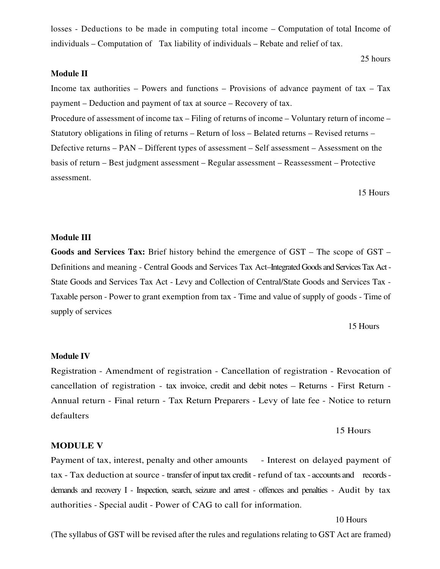losses - Deductions to be made in computing total income – Computation of total Income of individuals – Computation of Tax liability of individuals – Rebate and relief of tax.

#### **Module II**

Income tax authorities – Powers and functions – Provisions of advance payment of tax – Tax payment – Deduction and payment of tax at source – Recovery of tax. Procedure of assessment of income tax – Filing of returns of income – Voluntary return of income – Statutory obligations in filing of returns – Return of loss – Belated returns – Revised returns – Defective returns – PAN – Different types of assessment – Self assessment – Assessment on the basis of return – Best judgment assessment – Regular assessment – Reassessment – Protective assessment.

15 Hours

25 hours

#### **Module III**

Goods and Services Tax: Brief history behind the emergence of  $GST$  – The scope of  $GST$  – Definitions and meaning - Central Goods and Services Tax Act-Integrated Goods and Services Tax Act -State Goods and Services Tax Act - Levy and Collection of Central/State Goods and Services Tax -Taxable person - Power to grant exemption from tax - Time and value of supply of goods - Time of supply of services

#### 15 Hours

#### **Module IV**

Registration - Amendment of registration - Cancellation of registration - Revocation of cancellation of registration - tax invoice, credit and debit notes – Returns - First Return -Annual return - Final return - Tax Return Preparers - Levy of late fee - Notice to return defaulters

#### 15 Hours

#### **MODULE V**

Payment of tax, interest, penalty and other amounts - Interest on delayed payment of tax - Tax deduction at source - transfer of input tax credit - refund of tax - accounts and records demands and recovery I - Inspection, search, seizure and arrest - offences and penalties - Audit by tax authorities - Special audit - Power of CAG to call for information.

10 Hours

(The syllabus of GST will be revised after the rules and regulations relating to GST Act are framed)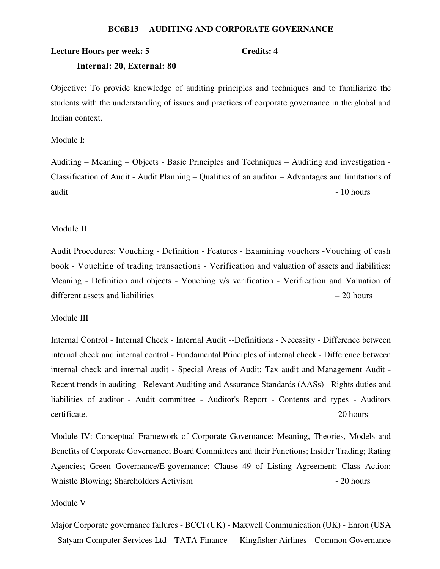#### **BC6B13 AUDITING AND CORPORATE GOVERNANCE**

#### **Lecture Hours per week: 5**

#### Credits: 4

#### Internal: 20, External: 80

Objective: To provide knowledge of auditing principles and techniques and to familiarize the students with the understanding of issues and practices of corporate governance in the global and Indian context.

Module I:

Auditing – Meaning – Objects - Basic Principles and Techniques – Auditing and investigation -Classification of Audit - Audit Planning – Qualities of an auditor – Advantages and limitations of audit  $-10$  hours

#### Module II

Audit Procedures: Vouching - Definition - Features - Examining vouchers - Vouching of cash book - Vouching of trading transactions - Verification and valuation of assets and liabilities: Meaning - Definition and objects - Vouching v/s verification - Verification and Valuation of different assets and liabilities  $-20$  hours

#### Module III

Internal Control - Internal Check - Internal Audit --Definitions - Necessity - Difference between internal check and internal control - Fundamental Principles of internal check - Difference between internal check and internal audit - Special Areas of Audit: Tax audit and Management Audit -Recent trends in auditing - Relevant Auditing and Assurance Standards (AASs) - Rights duties and liabilities of auditor - Audit committee - Auditor's Report - Contents and types - Auditors certificate.  $-20$  hours

Module IV: Conceptual Framework of Corporate Governance: Meaning, Theories, Models and Benefits of Corporate Governance; Board Committees and their Functions; Insider Trading; Rating Agencies; Green Governance/E-governance; Clause 49 of Listing Agreement; Class Action; Whistle Blowing; Shareholders Activism  $-20$  hours

#### Module V

Major Corporate governance failures - BCCI (UK) - Maxwell Communication (UK) - Enron (USA - Satyam Computer Services Ltd - TATA Finance - Kingfisher Airlines - Common Governance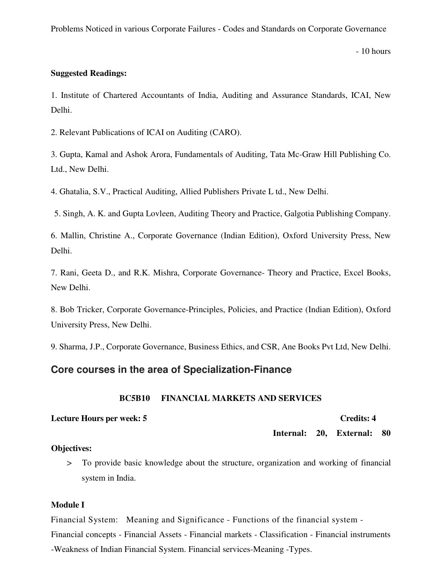Problems Noticed in various Corporate Failures - Codes and Standards on Corporate Governance

 $-10$  hours

### **Suggested Readings:**

1. Institute of Chartered Accountants of India, Auditing and Assurance Standards, ICAI, New Delhi.

2. Relevant Publications of ICAI on Auditing (CARO).

3. Gupta, Kamal and Ashok Arora, Fundamentals of Auditing, Tata Mc-Graw Hill Publishing Co. Ltd., New Delhi.

4. Ghatalia, S.V., Practical Auditing, Allied Publishers Private L td., New Delhi.

5. Singh, A. K. and Gupta Lovleen, Auditing Theory and Practice, Galgotia Publishing Company.

6. Mallin, Christine A., Corporate Governance (Indian Edition), Oxford University Press, New Delhi.

7. Rani, Geeta D., and R.K. Mishra, Corporate Governance- Theory and Practice, Excel Books, New Delhi.

8. Bob Tricker, Corporate Governance-Principles, Policies, and Practice (Indian Edition), Oxford University Press, New Delhi.

9. Sharma, J.P., Corporate Governance, Business Ethics, and CSR, Ane Books Pvt Ltd, New Delhi.

# Core courses in the area of Specialization-Finance

#### **BC5B10 FINANCIAL MARKETS AND SERVICES**

Lecture Hours per week: 5

**Credits: 4** 

Internal: 20, External: 80

# **Objectives:**

To provide basic knowledge about the structure, organization and working of financial  $\geq$ system in India.

# **Module I**

Financial System: Meaning and Significance - Functions of the financial system -Financial concepts - Financial Assets - Financial markets - Classification - Financial instruments -Weakness of Indian Financial System. Financial services-Meaning -Types.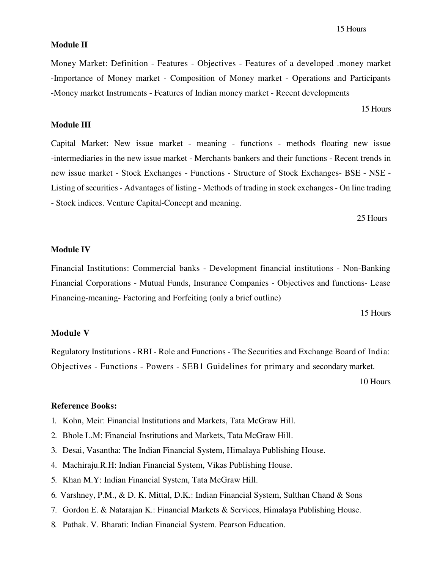#### **Module II**

Money Market: Definition - Features - Objectives - Features of a developed .money market -Importance of Money market - Composition of Money market - Operations and Participants -Money market Instruments - Features of Indian money market - Recent developments

15 Hours

#### **Module III**

Capital Market: New issue market - meaning - functions - methods floating new issue -intermediaries in the new issue market - Merchants bankers and their functions - Recent trends in new issue market - Stock Exchanges - Functions - Structure of Stock Exchanges- BSE - NSE -Listing of securities - Advantages of listing - Methods of trading in stock exchanges - On line trading - Stock indices. Venture Capital-Concept and meaning.

25 Hours

### **Module IV**

Financial Institutions: Commercial banks - Development financial institutions - Non-Banking Financial Corporations - Mutual Funds, Insurance Companies - Objectives and functions- Lease Financing-meaning-Factoring and Forfeiting (only a brief outline)

15 Hours

# **Module V**

Regulatory Institutions - RBI - Role and Functions - The Securities and Exchange Board of India: Objectives - Functions - Powers - SEB1 Guidelines for primary and secondary market.

10 Hours

#### **Reference Books:**

- 1. Kohn, Meir: Financial Institutions and Markets, Tata McGraw Hill.
- 2. Bhole L.M: Financial Institutions and Markets, Tata McGraw Hill.
- 3. Desai, Vasantha: The Indian Financial System, Himalaya Publishing House.
- 4. Machiraju.R.H: Indian Financial System, Vikas Publishing House.
- 5. Khan M.Y: Indian Financial System, Tata McGraw Hill.
- 6. Varshney, P.M., & D. K. Mittal, D.K.: Indian Financial System, Sulthan Chand & Sons
- 7. Gordon E. & Natarajan K.: Financial Markets & Services, Himalaya Publishing House.
- 8. Pathak. V. Bharati: Indian Financial System. Pearson Education.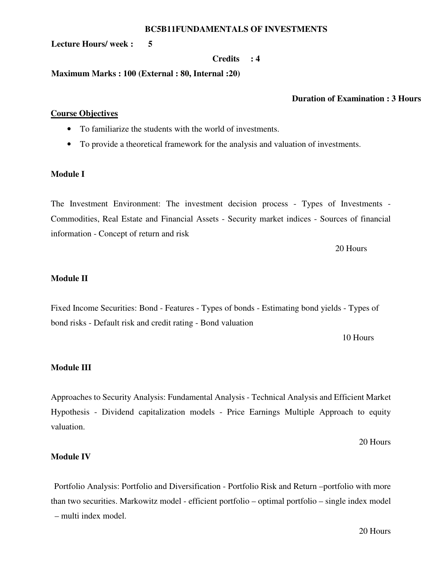#### **BC5B11FUNDAMENTALS OF INVESTMENTS**

 $5\overline{5}$ **Lecture Hours/ week:** 

#### **Credits**  $\div 4$

Maximum Marks: 100 (External: 80, Internal: 20)

# **Duration of Examination: 3 Hours**

# **Course Objectives**

- To familiarize the students with the world of investments.
- To provide a theoretical framework for the analysis and valuation of investments.

## **Module I**

The Investment Environment: The investment decision process - Types of Investments -Commodities, Real Estate and Financial Assets - Security market indices - Sources of financial information - Concept of return and risk

20 Hours

# **Module II**

Fixed Income Securities: Bond - Features - Types of bonds - Estimating bond yields - Types of bond risks - Default risk and credit rating - Bond valuation

10 Hours

# **Module III**

Approaches to Security Analysis: Fundamental Analysis - Technical Analysis and Efficient Market Hypothesis - Dividend capitalization models - Price Earnings Multiple Approach to equity valuation.

20 Hours

# **Module IV**

Portfolio Analysis: Portfolio and Diversification - Portfolio Risk and Return - portfolio with more than two securities. Markowitz model - efficient portfolio – optimal portfolio – single index model - multi index model.

20 Hours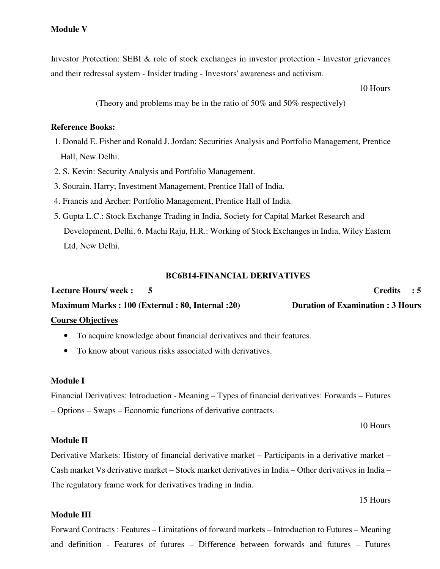Investor Protection: SEBI & role of stock exchanges in investor protection - Investor grievances and their redressal system - Insider trading - Investors' awareness and activism.

10 Hours

(Theory and problems may be in the ratio of 50% and 50% respectively)

#### **Reference Books:**

- 1. Donald E. Fisher and Ronald J. Jordan: Securities Analysis and Portfolio Management, Prentice Hall, New Delhi.
- 2. S. Kevin: Security Analysis and Portfolio Management.
- 3. Sourain. Harry; Investment Management, Prentice Hall of India.
- 4. Francis and Archer: Portfolio Management, Prentice Hall of India.
- 5. Gupta L.C.: Stock Exchange Trading in India, Society for Capital Market Research and Development, Delhi. 6. Machi Raju, H.R.: Working of Stock Exchanges in India, Wiley Eastern Ltd, New Delhi.

#### **BC6B14-FINANCIAL DERIVATIVES**

Lecture Hours/week: 5  $C$ redits : 5 **Maximum Marks: 100 (External: 80, Internal: 20) Duration of Examination: 3 Hours Course Objectives** 

# • To acquire knowledge about financial derivatives and their features.

• To know about various risks associated with derivatives.

# **Module I**

Financial Derivatives: Introduction - Meaning – Types of financial derivatives: Forwards – Futures - Options – Swaps – Economic functions of derivative contracts.

10 Hours

# **Module II**

Derivative Markets: History of financial derivative market – Participants in a derivative market – Cash market Vs derivative market – Stock market derivatives in India – Other derivatives in India – The regulatory frame work for derivatives trading in India.

15 Hours

# **Module III**

Forward Contracts: Features – Limitations of forward markets – Introduction to Futures – Meaning and definition - Features of futures - Difference between forwards and futures - Futures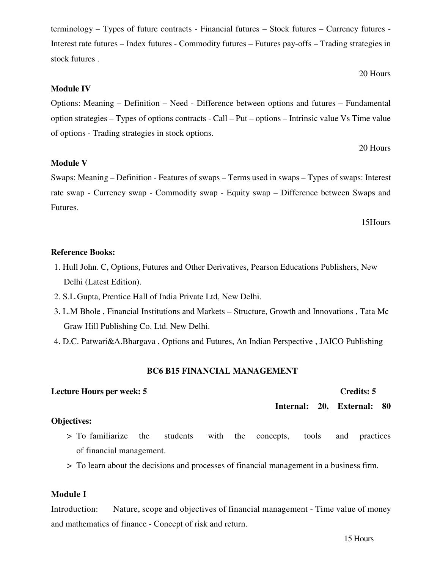terminology – Types of future contracts - Financial futures – Stock futures – Currency futures -Interest rate futures – Index futures - Commodity futures – Futures pay-offs – Trading strategies in stock futures.

Options: Meaning – Definition – Need - Difference between options and futures – Fundamental option strategies – Types of options contracts - Call – Put – options – Intrinsic value Vs Time value of options - Trading strategies in stock options.

# 20 Hours

20 Hours

#### **Module V**

**Module IV** 

Swaps: Meaning – Definition - Features of swaps – Terms used in swaps – Types of swaps: Interest rate swap - Currency swap - Commodity swap - Equity swap - Difference between Swaps and Futures.

#### 15Hours

#### **Reference Books:**

- 1. Hull John. C, Options, Futures and Other Derivatives, Pearson Educations Publishers, New Delhi (Latest Edition).
- 2. S.L.Gupta, Prentice Hall of India Private Ltd, New Delhi.
- 3. L.M Bhole, Financial Institutions and Markets Structure, Growth and Innovations, Tata Mc Graw Hill Publishing Co. Ltd. New Delhi.
- 4. D.C. Patwari&A.Bhargava, Options and Futures, An Indian Perspective, JAICO Publishing

#### **BC6 B15 FINANCIAL MANAGEMENT**

# **Lecture Hours per week: 5**

#### External: 80 Internal: 20,

#### **Objectives:**

- > To familiarize the students concepts, with the tools and practices of financial management.
- > To learn about the decisions and processes of financial management in a business firm.

# **Module I**

Introduction: Nature, scope and objectives of financial management - Time value of money and mathematics of finance - Concept of risk and return.

**Credits: 5**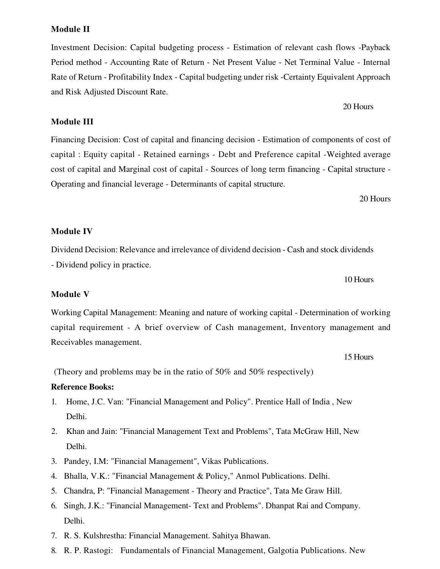# 20 Hours

# **Module III**

and Risk Adjusted Discount Rate.

Financing Decision: Cost of capital and financing decision - Estimation of components of cost of capital : Equity capital - Retained earnings - Debt and Preference capital - Weighted average cost of capital and Marginal cost of capital - Sources of long term financing - Capital structure -Operating and financial leverage - Determinants of capital structure.

Investment Decision: Capital budgeting process - Estimation of relevant cash flows -Payback

Period method - Accounting Rate of Return - Net Present Value - Net Terminal Value - Internal

Rate of Return - Profitability Index - Capital budgeting under risk - Certainty Equivalent Approach

20 Hours

#### **Module IV**

Dividend Decision: Relevance and irrelevance of dividend decision - Cash and stock dividends - Dividend policy in practice.

10 Hours

#### **Module V**

Working Capital Management: Meaning and nature of working capital - Determination of working capital requirement - A brief overview of Cash management, Inventory management and Receivables management.

15 Hours

(Theory and problems may be in the ratio of 50% and 50% respectively)

# **Reference Books:**

- 1. Home, J.C. Van: "Financial Management and Policy". Prentice Hall of India, New Delhi.
- 2. Khan and Jain: "Financial Management Text and Problems", Tata McGraw Hill, New Delhi.
- 3. Pandey, I.M: "Financial Management", Vikas Publications.
- 4. Bhalla, V.K.: "Financial Management & Policy," Anmol Publications. Delhi.
- 5. Chandra, P: "Financial Management Theory and Practice", Tata Me Graw Hill.
- 6. Singh, J.K.: "Financial Management- Text and Problems". Dhanpat Rai and Company. Delhi.
- 7. R. S. Kulshrestha: Financial Management. Sahitya Bhawan.
- 8. R. P. Rastogi: Fundamentals of Financial Management, Galgotia Publications. New

#### **Module II**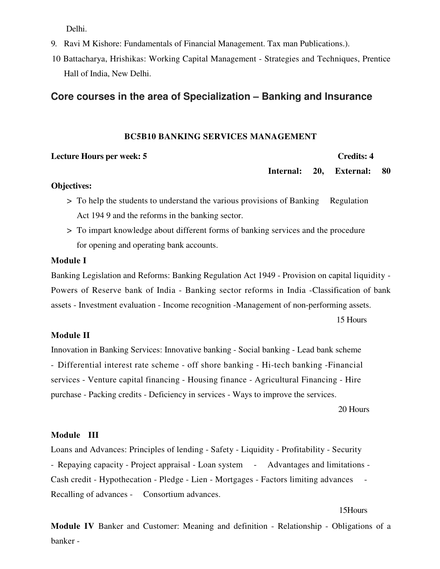Delhi.

- 9. Ravi M Kishore: Fundamentals of Financial Management. Tax man Publications.).
- 10 Battacharya, Hrishikas: Working Capital Management Strategies and Techniques, Prentice Hall of India, New Delhi.

# Core courses in the area of Specialization - Banking and Insurance

#### **BC5B10 BANKING SERVICES MANAGEMENT**

#### **Lecture Hours per week: 5**

#### **Credits: 4**

Internal: 20, External: 80

### **Objectives:**

- > To help the students to understand the various provisions of Banking Regulation Act 1949 and the reforms in the banking sector.
- > To impart knowledge about different forms of banking services and the procedure for opening and operating bank accounts.

# **Module I**

Banking Legislation and Reforms: Banking Regulation Act 1949 - Provision on capital liquidity -Powers of Reserve bank of India - Banking sector reforms in India - Classification of bank assets - Investment evaluation - Income recognition - Management of non-performing assets. 15 Hours

# **Module II**

Innovation in Banking Services: Innovative banking - Social banking - Lead bank scheme - Differential interest rate scheme - off shore banking - Hi-tech banking - Financial services - Venture capital financing - Housing finance - Agricultural Financing - Hire purchase - Packing credits - Deficiency in services - Ways to improve the services.

20 Hours

#### Module III

Loans and Advances: Principles of lending - Safety - Liquidity - Profitability - Security - Repaying capacity - Project appraisal - Loan system - Advantages and limitations -Cash credit - Hypothecation - Pledge - Lien - Mortgages - Factors limiting advances Recalling of advances - Consortium advances.

15Hours

Module IV Banker and Customer: Meaning and definition - Relationship - Obligations of a banker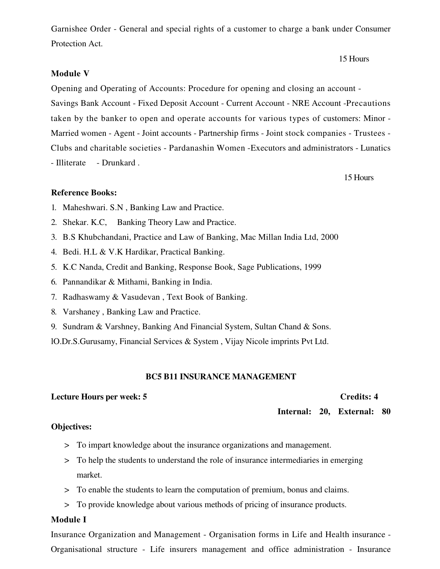Garnishee Order - General and special rights of a customer to charge a bank under Consumer Protection Act.

# **Module V**

Opening and Operating of Accounts: Procedure for opening and closing an account -Savings Bank Account - Fixed Deposit Account - Current Account - NRE Account - Precautions taken by the banker to open and operate accounts for various types of customers: Minor -Married women - Agent - Joint accounts - Partnership firms - Joint stock companies - Trustees -Clubs and charitable societies - Pardanashin Women - Executors and administrators - Lunatics - Illiterate - Drunkard.

15 Hours

15 Hours

# **Reference Books:**

- 1. Maheshwari. S.N, Banking Law and Practice.
- 2. Shekar. K.C. Banking Theory Law and Practice.
- 3. B.S Khubchandani, Practice and Law of Banking, Mac Millan India Ltd, 2000
- 4. Bedi. H.L & V.K Hardikar, Practical Banking.
- 5. K.C Nanda, Credit and Banking, Response Book, Sage Publications, 1999
- 6. Pannandikar & Mithami, Banking in India.
- 7. Radhaswamy & Vasudevan, Text Book of Banking.
- 8. Varshaney, Banking Law and Practice.
- 9. Sundram & Varshney, Banking And Financial System, Sultan Chand & Sons.

10.Dr.S.Gurusamy, Financial Services & System, Vijay Nicole imprints Pvt Ltd.

# **BC5 B11 INSURANCE MANAGEMENT**

# Lecture Hours per week: 5

**Credits: 4** 

Internal: 20, External: 80

# **Objectives:**

- > To impart knowledge about the insurance organizations and management.
- > To help the students to understand the role of insurance intermediaries in emerging market.
- > To enable the students to learn the computation of premium, bonus and claims.
- > To provide knowledge about various methods of pricing of insurance products.

# **Module I**

Insurance Organization and Management - Organisation forms in Life and Health insurance -Organisational structure - Life insurers management and office administration - Insurance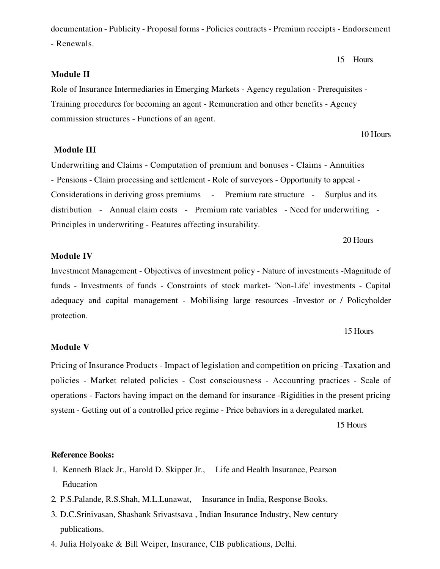documentation - Publicity - Proposal forms - Policies contracts - Premium receipts - Endorsement - Renewals.

#### **Module II**

Role of Insurance Intermediaries in Emerging Markets - Agency regulation - Prerequisites -Training procedures for becoming an agent - Remuneration and other benefits - Agency commission structures - Functions of an agent.

**Module III** 

Underwriting and Claims - Computation of premium and bonuses - Claims - Annuities - Pensions - Claim processing and settlement - Role of surveyors - Opportunity to appeal -Considerations in deriving gross premiums - Premium rate structure - Surplus and its distribution - Annual claim costs - Premium rate variables - Need for underwriting -Principles in underwriting - Features affecting insurability.

20 Hours

### **Module IV**

Investment Management - Objectives of investment policy - Nature of investments - Magnitude of funds - Investments of funds - Constraints of stock market- 'Non-Life' investments - Capital adequacy and capital management - Mobilising large resources - Investor or / Policyholder protection.

#### 15 Hours

15 Hours

10 Hours

#### **Module V**

Pricing of Insurance Products - Impact of legislation and competition on pricing - Taxation and policies - Market related policies - Cost consciousness - Accounting practices - Scale of operations - Factors having impact on the demand for insurance -Rigidities in the present pricing system - Getting out of a controlled price regime - Price behaviors in a deregulated market.

15 Hours

#### **Reference Books:**

- 1. Kenneth Black Jr., Harold D. Skipper Jr., Life and Health Insurance, Pearson Education
- 2. P.S.Palande, R.S.Shah, M.L.Lunawat, Insurance in India, Response Books.
- 3. D.C.Srinivasan, Shashank Srivastsava, Indian Insurance Industry, New century publications.
- 4. Julia Holyoake & Bill Weiper, Insurance, CIB publications, Delhi.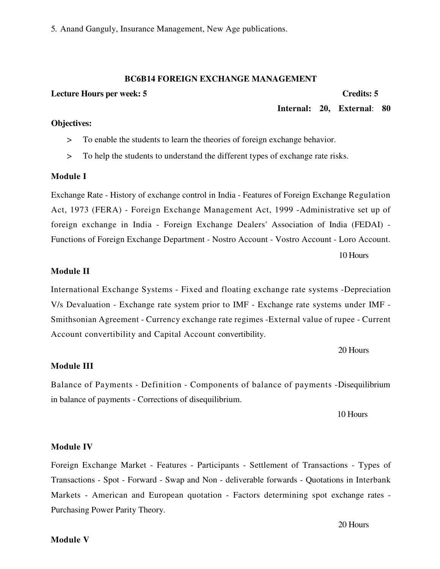5. Anand Ganguly, Insurance Management, New Age publications.

# **BC6B14 FOREIGN EXCHANGE MANAGEMENT**

#### Lecture Hours per week: 5

#### **Credits: 5**

Internal: 20, External: 80

- To enable the students to learn the theories of foreign exchange behavior.  $\geq$
- To help the students to understand the different types of exchange rate risks.  $\geq$

#### **Module I**

**Objectives:** 

Exchange Rate - History of exchange control in India - Features of Foreign Exchange Regulation Act, 1973 (FERA) - Foreign Exchange Management Act, 1999 - Administrative set up of foreign exchange in India - Foreign Exchange Dealers' Association of India (FEDAI) -Functions of Foreign Exchange Department - Nostro Account - Vostro Account - Loro Account.

10 Hours

#### **Module II**

International Exchange Systems - Fixed and floating exchange rate systems - Depreciation V/s Devaluation - Exchange rate system prior to IMF - Exchange rate systems under IMF -Smithsonian Agreement - Currency exchange rate regimes - External value of rupee - Current Account convertibility and Capital Account convertibility.

20 Hours

#### **Module III**

Balance of Payments - Definition - Components of balance of payments - Disequilibrium in balance of payments - Corrections of disequilibrium.

10 Hours

#### **Module IV**

Foreign Exchange Market - Features - Participants - Settlement of Transactions - Types of Transactions - Spot - Forward - Swap and Non - deliverable forwards - Quotations in Interbank Markets - American and European quotation - Factors determining spot exchange rates -Purchasing Power Parity Theory.

20 Hours

#### **Module V**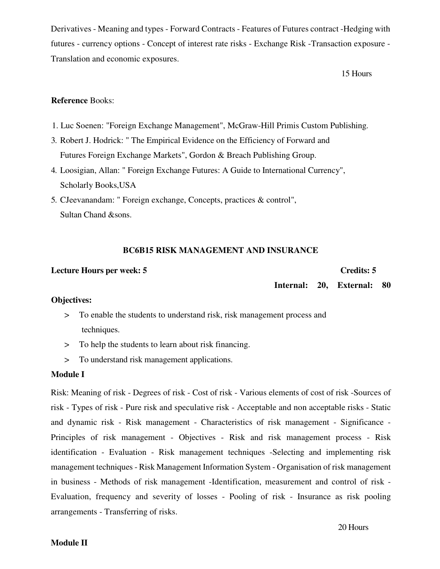Derivatives - Meaning and types - Forward Contracts - Features of Futures contract - Hedging with futures - currency options - Concept of interest rate risks - Exchange Risk - Transaction exposure -Translation and economic exposures.

15 Hours

# **Reference Books:**

- 1. Luc Soenen: "Foreign Exchange Management", McGraw-Hill Primis Custom Publishing.
- 3. Robert J. Hodrick: "The Empirical Evidence on the Efficiency of Forward and Futures Foreign Exchange Markets", Gordon & Breach Publishing Group.
- 4. Loosigian, Allan: "Foreign Exchange Futures: A Guide to International Currency", Scholarly Books, USA
- 5. CJeevanandam: "Foreign exchange, Concepts, practices & control", Sultan Chand & sons.

# **BC6B15 RISK MANAGEMENT AND INSURANCE**

#### **Lecture Hours per week: 5**

### **Credits: 5**

Internal: 20, External: 80

# **Objectives:**

- > To enable the students to understand risk, risk management process and techniques.
- > To help the students to learn about risk financing.
- > To understand risk management applications.

# **Module I**

Risk: Meaning of risk - Degrees of risk - Cost of risk - Various elements of cost of risk - Sources of risk - Types of risk - Pure risk and speculative risk - Acceptable and non acceptable risks - Static and dynamic risk - Risk management - Characteristics of risk management - Significance -Principles of risk management - Objectives - Risk and risk management process - Risk identification - Evaluation - Risk management techniques -Selecting and implementing risk management techniques - Risk Management Information System - Organisation of risk management in business - Methods of risk management -Identification, measurement and control of risk -Evaluation, frequency and severity of losses - Pooling of risk - Insurance as risk pooling arrangements - Transferring of risks.

# **Module II**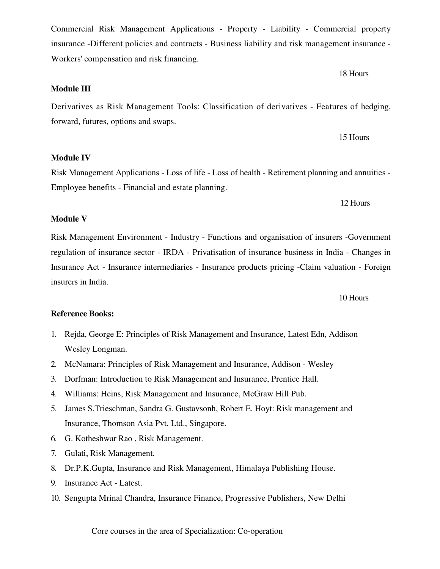Core courses in the area of Specialization: Co-operation

**Module III** 

**Module V** 

Workers' compensation and risk financing.

Derivatives as Risk Management Tools: Classification of derivatives - Features of hedging, forward, futures, options and swaps.

Commercial Risk Management Applications - Property - Liability - Commercial property

insurance -Different policies and contracts - Business liability and risk management insurance -

**Module IV** 

Risk Management Applications - Loss of life - Loss of health - Retirement planning and annuities -Employee benefits - Financial and estate planning.

Risk Management Environment - Industry - Functions and organisation of insurers -Government regulation of insurance sector - IRDA - Privatisation of insurance business in India - Changes in insurers in India.

Insurance Act - Insurance intermediaries - Insurance products pricing - Claim valuation - Foreign

10 Hours

# **Reference Books:**

- 1. Rejda, George E: Principles of Risk Management and Insurance, Latest Edn, Addison Wesley Longman.
- 2. McNamara: Principles of Risk Management and Insurance, Addison Wesley
- 3. Dorfman: Introduction to Risk Management and Insurance, Prentice Hall.
- 4. Williams: Heins, Risk Management and Insurance, McGraw Hill Pub.
- 5. James S. Trieschman, Sandra G. Gustavsonh, Robert E. Hoyt: Risk management and Insurance, Thomson Asia Pvt. Ltd., Singapore.
- 6. G. Kotheshwar Rao, Risk Management.
- 7. Gulati, Risk Management.
- 8. Dr.P.K.Gupta, Insurance and Risk Management, Himalaya Publishing House.
- 9. Insurance Act Latest.
- 10. Sengupta Mrinal Chandra, Insurance Finance, Progressive Publishers, New Delhi

15 Hours

12 Hours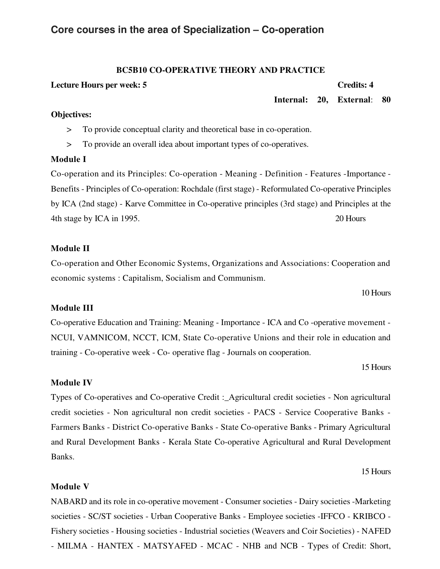# Core courses in the area of Specialization - Co-operation

# **BC5B10 CO-OPERATIVE THEORY AND PRACTICE**

### **Lecture Hours per week: 5**

### **Credits: 4**

Internal: 20. External: 80

# **Objectives:**

- $\geq$ To provide conceptual clarity and theoretical base in co-operation.
- To provide an overall idea about important types of co-operatives.  $\geq$

# **Module I**

Co-operation and its Principles: Co-operation - Meaning - Definition - Features - Importance -Benefits - Principles of Co-operation: Rochdale (first stage) - Reformulated Co-operative Principles by ICA (2nd stage) - Karve Committee in Co-operative principles (3rd stage) and Principles at the 4th stage by ICA in 1995. 20 Hours

# **Module II**

Co-operation and Other Economic Systems, Organizations and Associations: Cooperation and economic systems : Capitalism, Socialism and Communism.

# 10 Hours

# **Module III**

Co-operative Education and Training: Meaning - Importance - ICA and Co-operative movement -NCUI, VAMNICOM, NCCT, ICM, State Co-operative Unions and their role in education and training - Co-operative week - Co-operative flag - Journals on cooperation.

15 Hours

# **Module IV**

Types of Co-operatives and Co-operative Credit :\_Agricultural credit societies - Non agricultural credit societies - Non agricultural non credit societies - PACS - Service Cooperative Banks -Farmers Banks - District Co-operative Banks - State Co-operative Banks - Primary Agricultural and Rural Development Banks - Kerala State Co-operative Agricultural and Rural Development Banks.

15 Hours

# **Module V**

NABARD and its role in co-operative movement - Consumer societies - Dairy societies - Marketing societies - SC/ST societies - Urban Cooperative Banks - Employee societies - IFFCO - KRIBCO -Fishery societies - Housing societies - Industrial societies (Weavers and Coir Societies) - NAFED - MILMA - HANTEX - MATSYAFED - MCAC - NHB and NCB - Types of Credit: Short,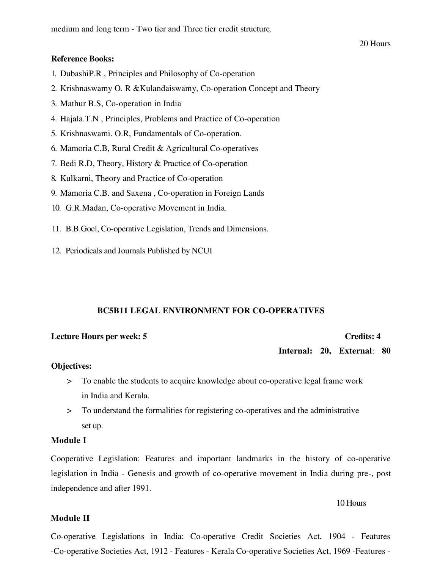medium and long term - Two tier and Three tier credit structure.

### **Reference Books:**

- 1. DubashiP.R, Principles and Philosophy of Co-operation
- 2. Krishnaswamy O. R & Kulandaiswamy, Co-operation Concept and Theory
- 3. Mathur B.S, Co-operation in India
- 4. Hajala.T.N, Principles, Problems and Practice of Co-operation
- 5. Krishnaswami. O.R, Fundamentals of Co-operation.
- 6. Mamoria C.B, Rural Credit & Agricultural Co-operatives
- 7. Bedi R.D, Theory, History & Practice of Co-operation
- 8. Kulkarni, Theory and Practice of Co-operation
- 9. Mamoria C.B. and Saxena, Co-operation in Foreign Lands
- 10. G.R.Madan, Co-operative Movement in India.
- 11. B.B.Goel, Co-operative Legislation, Trends and Dimensions.
- 12. Periodicals and Journals Published by NCUI

### **BC5B11 LEGAL ENVIRONMENT FOR CO-OPERATIVES**

# **Lecture Hours per week: 5**

#### **Credits: 4**

Internal: 20, External: 80

#### **Objectives:**

- > To enable the students to acquire knowledge about co-operative legal frame work in India and Kerala.
- To understand the formalities for registering co-operatives and the administrative  $>$ set up.

### **Module I**

Cooperative Legislation: Features and important landmarks in the history of co-operative legislation in India - Genesis and growth of co-operative movement in India during pre-, post independence and after 1991.

#### 10 Hours

#### **Module II**

Co-operative Legislations in India: Co-operative Credit Societies Act, 1904 - Features -Co-operative Societies Act, 1912 - Features - Kerala Co-operative Societies Act, 1969 - Features -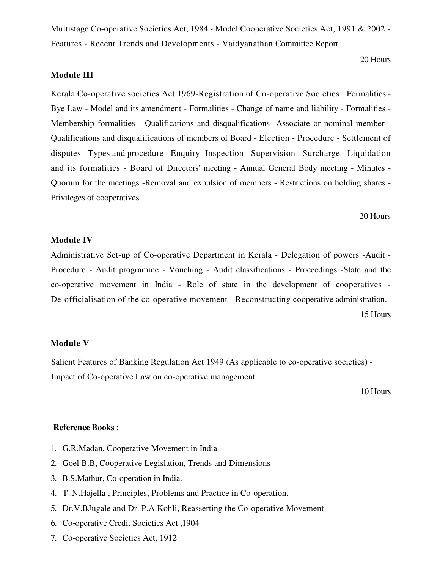Multistage Co-operative Societies Act, 1984 - Model Cooperative Societies Act, 1991 & 2002 -Features - Recent Trends and Developments - Vaidyanathan Committee Report.

20 Hours

# **Module III**

Kerala Co-operative societies Act 1969-Registration of Co-operative Societies : Formalities -Bye Law - Model and its amendment - Formalities - Change of name and liability - Formalities -Membership formalities - Qualifications and disqualifications -Associate or nominal member -Qualifications and disqualifications of members of Board - Election - Procedure - Settlement of disputes - Types and procedure - Enquiry - Inspection - Supervision - Surcharge - Liquidation and its formalities - Board of Directors' meeting - Annual General Body meeting - Minutes -Quorum for the meetings -Removal and expulsion of members - Restrictions on holding shares -Privileges of cooperatives.

20 Hours

# **Module IV**

Administrative Set-up of Co-operative Department in Kerala - Delegation of powers -Audit -Procedure - Audit programme - Vouching - Audit classifications - Proceedings -State and the co-operative movement in India - Role of state in the development of cooperatives -De-officialisation of the co-operative movement - Reconstructing cooperative administration.

15 Hours

### **Module V**

Salient Features of Banking Regulation Act 1949 (As applicable to co-operative societies) -Impact of Co-operative Law on co-operative management.

10 Hours

# **Reference Books:**

- 1. G.R.Madan, Cooperative Movement in India
- 2. Goel B.B, Cooperative Legislation, Trends and Dimensions
- 3. B.S.Mathur, Co-operation in India.
- 4. T.N.Hajella, Principles, Problems and Practice in Co-operation.
- 5. Dr.V.BJugale and Dr. P.A.Kohli, Reasserting the Co-operative Movement
- 6. Co-operative Credit Societies Act, 1904
- 7. Co-operative Societies Act, 1912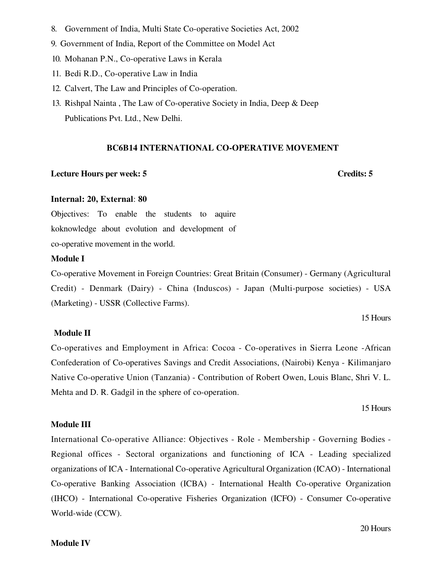- 8. Government of India, Multi State Co-operative Societies Act, 2002
- 9. Government of India, Report of the Committee on Model Act
- 10. Mohanan P.N., Co-operative Laws in Kerala
- 11. Bedi R.D., Co-operative Law in India
- 12. Calvert, The Law and Principles of Co-operation.
- 13. Rishpal Nainta, The Law of Co-operative Society in India, Deep & Deep Publications Pvt. Ltd., New Delhi.

# **BC6B14 INTERNATIONAL CO-OPERATIVE MOVEMENT**

### **Lecture Hours per week: 5**

# **Credits: 5**

#### Internal: 20, External: 80

Objectives: To enable the students to aquire koknowledge about evolution and development of co-operative movement in the world.

### **Module I**

Co-operative Movement in Foreign Countries: Great Britain (Consumer) - Germany (Agricultural Credit) - Denmark (Dairy) - China (Induscos) - Japan (Multi-purpose societies) - USA (Marketing) - USSR (Collective Farms).

15 Hours

## **Module II**

Co-operatives and Employment in Africa: Cocoa - Co-operatives in Sierra Leone -African Confederation of Co-operatives Savings and Credit Associations, (Nairobi) Kenya - Kilimanjaro Native Co-operative Union (Tanzania) - Contribution of Robert Owen, Louis Blanc, Shri V. L. Mehta and D. R. Gadgil in the sphere of co-operation.

15 Hours

# **Module III**

International Co-operative Alliance: Objectives - Role - Membership - Governing Bodies -Regional offices - Sectoral organizations and functioning of ICA - Leading specialized organizations of ICA - International Co-operative Agricultural Organization (ICAO) - International Co-operative Banking Association (ICBA) - International Health Co-operative Organization (IHCO) - International Co-operative Fisheries Organization (ICFO) - Consumer Co-operative World-wide (CCW).

20 Hours

#### **Module IV**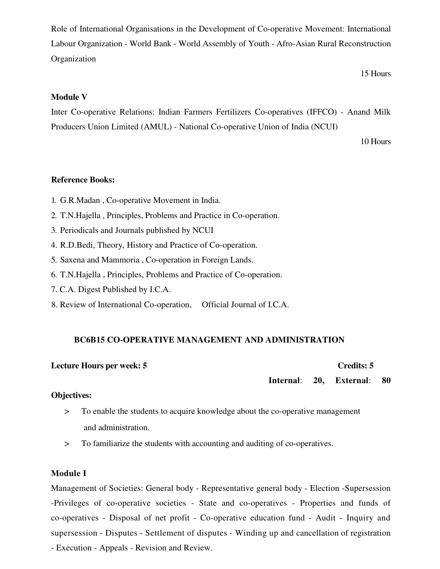Role of International Organisations in the Development of Co-operative Movement: International Labour Organization - World Bank - World Assembly of Youth - Afro-Asian Rural Reconstruction Organization

15 Hours

# **Module V**

Inter Co-operative Relations: Indian Farmers Fertilizers Co-operatives (IFFCO) - Anand Milk Producers Union Limited (AMUL) - National Co-operative Union of India (NCUI)

10 Hours

# **Reference Books:**

- 1. G.R.Madan, Co-operative Movement in India.
- 2. T.N.Hajella, Principles, Problems and Practice in Co-operation.
- 3. Periodicals and Journals published by NCUI
- 4. R.D.Bedi, Theory, History and Practice of Co-operation.
- 5. Saxena and Mammoria, Co-operation in Foreign Lands.
- 6. T.N.Hajella, Principles, Problems and Practice of Co-operation.
- 7. C.A. Digest Published by I.C.A.
- 8. Review of International Co-operation, Official Journal of I.C.A.

## **BC6B15 CO-OPERATIVE MANAGEMENT AND ADMINISTRATION**

#### **Lecture Hours per week: 5 Credits: 5**

Internal: 20. **External:** 80

# **Objectives:**

- To enable the students to acquire knowledge about the co-operative management  $\geq$ and administration.
- To familiarize the students with accounting and auditing of co-operatives.  $\geq$

# **Module I**

Management of Societies: General body - Representative general body - Election -Supersession -Privileges of co-operative societies - State and co-operatives - Properties and funds of co-operatives - Disposal of net profit - Co-operative education fund - Audit - Inquiry and supersession - Disputes - Settlement of disputes - Winding up and cancellation of registration - Execution - Appeals - Revision and Review.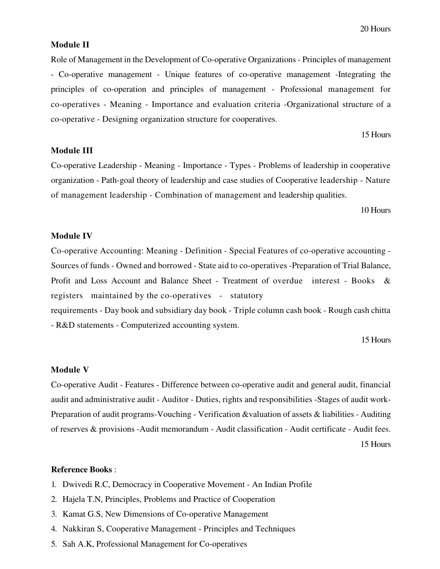#### **Module II**

Role of Management in the Development of Co-operative Organizations - Principles of management - Co-operative management - Unique features of co-operative management - Integrating the principles of co-operation and principles of management - Professional management for co-operatives - Meaning - Importance and evaluation criteria -Organizational structure of a co-operative - Designing organization structure for cooperatives.

15 Hours

### **Module III**

Co-operative Leadership - Meaning - Importance - Types - Problems of leadership in cooperative organization - Path-goal theory of leadership and case studies of Cooperative leadership - Nature of management leadership - Combination of management and leadership qualities.

10 Hours

### **Module IV**

Co-operative Accounting: Meaning - Definition - Special Features of co-operative accounting -Sources of funds - Owned and borrowed - State aid to co-operatives - Preparation of Trial Balance, Profit and Loss Account and Balance Sheet - Treatment of overdue interest - Books & registers maintained by the co-operatives - statutory requirements - Day book and subsidiary day book - Triple column cash book - Rough cash chitta - R&D statements - Computerized accounting system.

15 Hours

### **Module V**

Co-operative Audit - Features - Difference between co-operative audit and general audit, financial audit and administrative audit - Auditor - Duties, rights and responsibilities -Stages of audit work-Preparation of audit programs-Vouching - Verification & valuation of assets & liabilities - Auditing of reserves & provisions - Audit memorandum - Audit classification - Audit certificate - Audit fees.

15 Hours

#### **Reference Books:**

- 1. Dwivedi R.C, Democracy in Cooperative Movement An Indian Profile
- 2. Hajela T.N, Principles, Problems and Practice of Cooperation
- 3. Kamat G.S, New Dimensions of Co-operative Management
- 4. Nakkiran S, Cooperative Management Principles and Techniques
- 5. Sah A.K, Professional Management for Co-operatives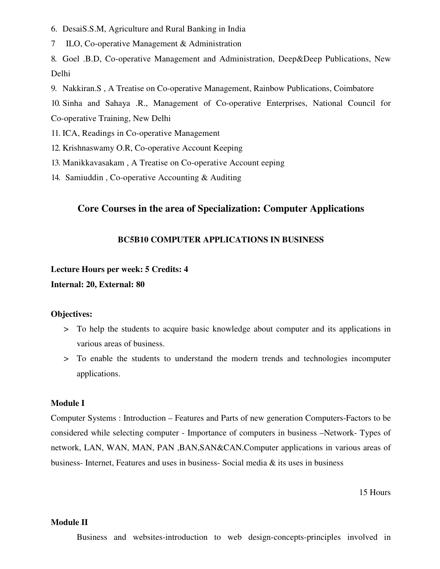- 6. DesaiS.S.M, Agriculture and Rural Banking in India
- 7 ILO, Co-operative Management & Administration

8. Goel .B.D, Co-operative Management and Administration, Deep&Deep Publications, New **Delhi** 

- 9. Nakkiran, S, A Treatise on Co-operative Management, Rainbow Publications, Coimbatore
- 10. Sinha and Sahaya .R., Management of Co-operative Enterprises, National Council for

Co-operative Training, New Delhi

- 11. ICA, Readings in Co-operative Management
- 12. Krishnaswamy O.R. Co-operative Account Keeping
- 13. Manikkavasakam, A Treatise on Co-operative Account eeping
- 14. Samiuddin, Co-operative Accounting & Auditing

# Core Courses in the area of Specialization: Computer Applications

## **BC5B10 COMPUTER APPLICATIONS IN BUSINESS**

#### **Lecture Hours per week: 5 Credits: 4**

Internal: 20, External: 80

#### **Objectives:**

- > To help the students to acquire basic knowledge about computer and its applications in various areas of business.
- > To enable the students to understand the modern trends and technologies incomputer applications.

# **Module I**

Computer Systems : Introduction – Features and Parts of new generation Computers-Factors to be considered while selecting computer - Importance of computers in business –Network-Types of network, LAN, WAN, MAN, PAN, BAN, SAN&CAN, Computer applications in various areas of business-Internet, Features and uses in business-Social media & its uses in business

15 Hours

# **Module II**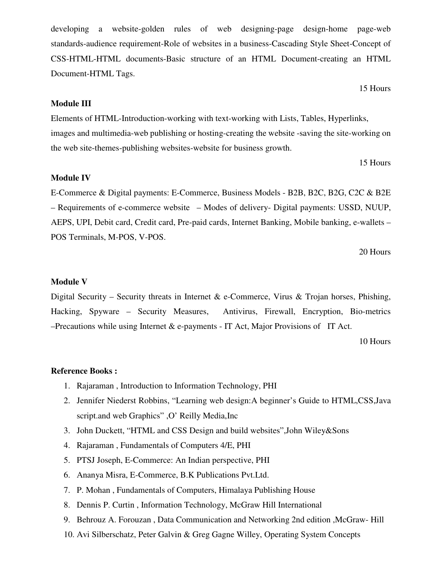developing a website-golden rules of web designing-page design-home page-web standards-audience requirement-Role of websites in a business-Cascading Style Sheet-Concept of CSS-HTML-HTML documents-Basic structure of an HTML Document-creating an HTML Document-HTML Tags.

# **Module III**

Elements of HTML-Introduction-working with text-working with Lists, Tables, Hyperlinks, images and multimedia-web publishing or hosting-creating the website -saving the site-working on the web site-themes-publishing websites-website for business growth.

15 Hours

15 Hours

# **Module IV**

E-Commerce & Digital payments: E-Commerce, Business Models - B2B, B2C, B2G, C2C & B2E - Requirements of e-commerce website - Modes of delivery- Digital payments: USSD, NUUP, AEPS, UPI, Debit card, Credit card, Pre-paid cards, Internet Banking, Mobile banking, e-wallets -POS Terminals, M-POS, V-POS.

20 Hours

# **Module V**

Digital Security – Security threats in Internet & e-Commerce, Virus & Trojan horses, Phishing, Hacking, Spyware – Security Measures, Antivirus, Firewall, Encryption, Bio-metrics  $-$ Precautions while using Internet & e-payments - IT Act, Major Provisions of IT Act.

10 Hours

### **Reference Books:**

- 1. Rajaraman, Introduction to Information Technology, PHI
- 2. Jennifer Niederst Robbins, "Learning web design: A beginner's Guide to HTML, CSS, Java script.and web Graphics", O' Reilly Media, Inc
- 3. John Duckett, "HTML and CSS Design and build websites", John Wiley&Sons
- 4. Rajaraman, Fundamentals of Computers 4/E, PHI
- 5. PTSJ Joseph, E-Commerce: An Indian perspective, PHI
- 6. Ananya Misra, E-Commerce, B.K Publications Pvt.Ltd.
- 7. P. Mohan, Fundamentals of Computers, Himalaya Publishing House
- 8. Dennis P. Curtin, Information Technology, McGraw Hill International
- 9. Behrouz A. Forouzan, Data Communication and Networking 2nd edition, McGraw-Hill
- 10. Avi Silberschatz, Peter Galvin & Greg Gagne Willey, Operating System Concepts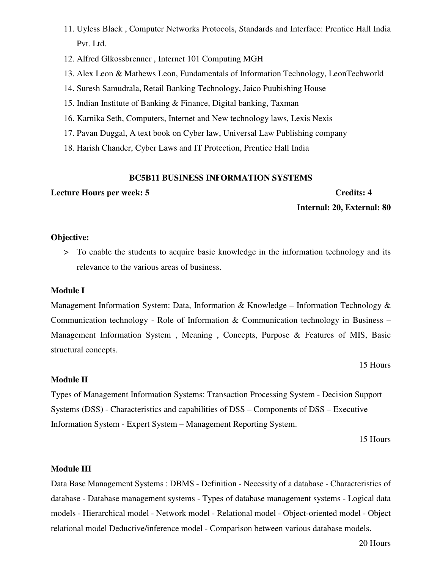- 11. Uyless Black, Computer Networks Protocols, Standards and Interface: Prentice Hall India Pvt. Ltd.
- 12. Alfred Glkossbrenner, Internet 101 Computing MGH
- 13. Alex Leon & Mathews Leon, Fundamentals of Information Technology, LeonTechworld
- 14. Suresh Samudrala, Retail Banking Technology, Jaico Puubishing House
- 15. Indian Institute of Banking & Finance, Digital banking, Taxman
- 16. Karnika Seth, Computers, Internet and New technology laws, Lexis Nexis
- 17. Pavan Duggal, A text book on Cyber law, Universal Law Publishing company
- 18. Harish Chander, Cyber Laws and IT Protection, Prentice Hall India

# **BC5B11 BUSINESS INFORMATION SYSTEMS**

# **Lecture Hours per week: 5**

# **Credits: 4** Internal: 20, External: 80

# Objective:

> To enable the students to acquire basic knowledge in the information technology and its relevance to the various areas of business.

# **Module I**

Management Information System: Data, Information & Knowledge - Information Technology & Communication technology - Role of Information & Communication technology in Business  $-$ Management Information System, Meaning, Concepts, Purpose & Features of MIS, Basic structural concepts.

## 15 Hours

# **Module II**

Types of Management Information Systems: Transaction Processing System - Decision Support Systems (DSS) - Characteristics and capabilities of DSS – Components of DSS – Executive Information System - Expert System - Management Reporting System.

15 Hours

# **Module III**

Data Base Management Systems : DBMS - Definition - Necessity of a database - Characteristics of database - Database management systems - Types of database management systems - Logical data models - Hierarchical model - Network model - Relational model - Object-oriented model - Object relational model Deductive/inference model - Comparison between various database models.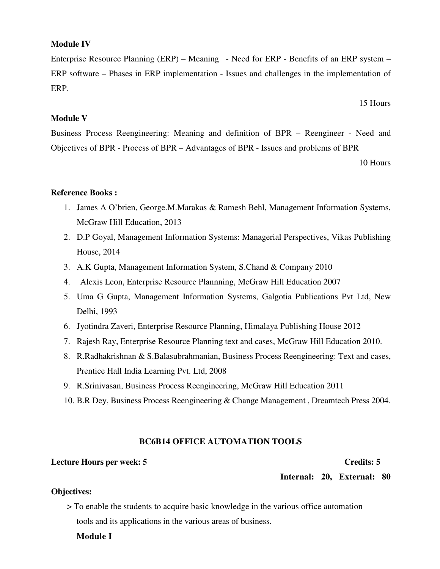# **Module IV**

Enterprise Resource Planning (ERP) – Meaning - Need for ERP - Benefits of an ERP system – ERP software – Phases in ERP implementation - Issues and challenges in the implementation of ERP.

15 Hours

# **Module V**

Business Process Reengineering: Meaning and definition of BPR – Reengineer - Need and Objectives of BPR - Process of BPR – Advantages of BPR - Issues and problems of BPR

10 Hours

# **Reference Books:**

- 1. James A O'brien, George.M.Marakas & Ramesh Behl, Management Information Systems, McGraw Hill Education, 2013
- 2. D.P Goyal, Management Information Systems: Managerial Perspectives, Vikas Publishing House, 2014
- 3. A.K Gupta, Management Information System, S.Chand & Company 2010
- 4. Alexis Leon, Enterprise Resource Plannning, McGraw Hill Education 2007
- 5. Uma G Gupta, Management Information Systems, Galgotia Publications Pvt Ltd, New Delhi, 1993
- 6. Jyotindra Zaveri, Enterprise Resource Planning, Himalaya Publishing House 2012
- 7. Rajesh Ray, Enterprise Resource Planning text and cases, McGraw Hill Education 2010.
- 8. R.Radhakrishnan & S.Balasubrahmanian, Business Process Reengineering: Text and cases, Prentice Hall India Learning Pvt. Ltd, 2008
- 9. R.Srinivasan, Business Process Reengineering, McGraw Hill Education 2011
- 10. B.R. Dey, Business Process Reengineering & Change Management, Dreamtech Press 2004.

## **BC6B14 OFFICE AUTOMATION TOOLS**

# **Lecture Hours per week: 5**

#### **Credits: 5**

Internal: 20, External: 80

## **Objectives:**

> To enable the students to acquire basic knowledge in the various office automation tools and its applications in the various areas of business.

#### **Module I**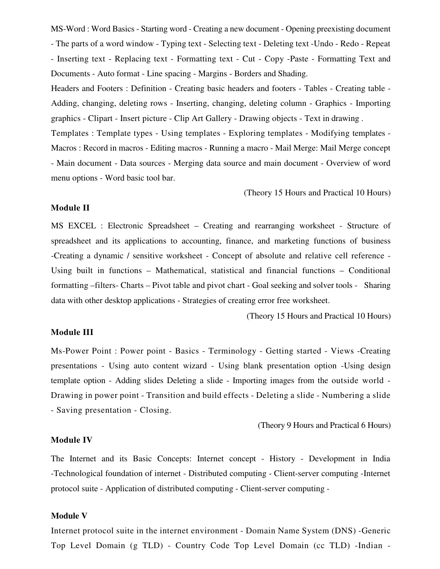MS-Word: Word Basics - Starting word - Creating a new document - Opening preexisting document - The parts of a word window - Typing text - Selecting text - Deleting text - Undo - Redo - Repeat - Inserting text - Replacing text - Formatting text - Cut - Copy -Paste - Formatting Text and Documents - Auto format - Line spacing - Margins - Borders and Shading.

Headers and Footers : Definition - Creating basic headers and footers - Tables - Creating table -Adding, changing, deleting rows - Inserting, changing, deleting column - Graphics - Importing graphics - Clipart - Insert picture - Clip Art Gallery - Drawing objects - Text in drawing.

Templates: Template types - Using templates - Exploring templates - Modifying templates -Macros: Record in macros - Editing macros - Running a macro - Mail Merge: Mail Merge concept - Main document - Data sources - Merging data source and main document - Overview of word menu options - Word basic tool bar.

(Theory 15 Hours and Practical 10 Hours)

### **Module II**

MS EXCEL : Electronic Spreadsheet – Creating and rearranging worksheet - Structure of spreadsheet and its applications to accounting, finance, and marketing functions of business -Creating a dynamic / sensitive worksheet - Concept of absolute and relative cell reference -Using built in functions - Mathematical, statistical and financial functions - Conditional formatting –filters- Charts – Pivot table and pivot chart - Goal seeking and solver tools - Sharing data with other desktop applications - Strategies of creating error free worksheet.

(Theory 15 Hours and Practical 10 Hours)

### **Module III**

Ms-Power Point : Power point - Basics - Terminology - Getting started - Views -Creating presentations - Using auto content wizard - Using blank presentation option -Using design template option - Adding slides Deleting a slide - Importing images from the outside world -Drawing in power point - Transition and build effects - Deleting a slide - Numbering a slide - Saving presentation - Closing.

(Theory 9 Hours and Practical 6 Hours)

## **Module IV**

The Internet and its Basic Concepts: Internet concept - History - Development in India -Technological foundation of internet - Distributed computing - Client-server computing -Internet protocol suite - Application of distributed computing - Client-server computing -

#### **Module V**

Internet protocol suite in the internet environment - Domain Name System (DNS) - Generic Top Level Domain (g TLD) - Country Code Top Level Domain (cc TLD) -Indian -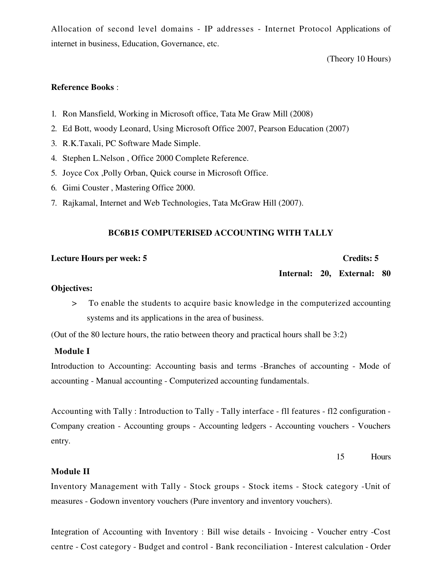Allocation of second level domains - IP addresses - Internet Protocol Applications of internet in business, Education, Governance, etc.

(Theory 10 Hours)

# **Reference Books:**

- 1. Ron Mansfield, Working in Microsoft office, Tata Me Graw Mill (2008)
- 2. Ed Bott, woody Leonard, Using Microsoft Office 2007, Pearson Education (2007)
- 3. R.K.Taxali, PC Software Made Simple.
- 4. Stephen L.Nelson, Office 2000 Complete Reference.
- 5. Joyce Cox , Polly Orban, Quick course in Microsoft Office.
- 6. Gimi Couster, Mastering Office 2000.
- 7. Rajkamal, Internet and Web Technologies, Tata McGraw Hill (2007).

# **BC6B15 COMPUTERISED ACCOUNTING WITH TALLY**

### **Lecture Hours per week: 5**

#### Credits: 5

Internal: 20, External: 80

#### **Objectives:**

To enable the students to acquire basic knowledge in the computerized accounting  $\geq$ systems and its applications in the area of business.

(Out of the 80 lecture hours, the ratio between theory and practical hours shall be 3:2)

## **Module I**

Introduction to Accounting: Accounting basis and terms -Branches of accounting - Mode of accounting - Manual accounting - Computerized accounting fundamentals.

Accounting with Tally: Introduction to Tally - Tally interface - fll features - fl2 configuration -Company creation - Accounting groups - Accounting ledgers - Accounting vouchers - Vouchers entry.

> 15 Hours

# **Module II**

Inventory Management with Tally - Stock groups - Stock items - Stock category - Unit of measures - Godown inventory vouchers (Pure inventory and inventory vouchers).

Integration of Accounting with Inventory : Bill wise details - Invoicing - Voucher entry -Cost centre - Cost category - Budget and control - Bank reconciliation - Interest calculation - Order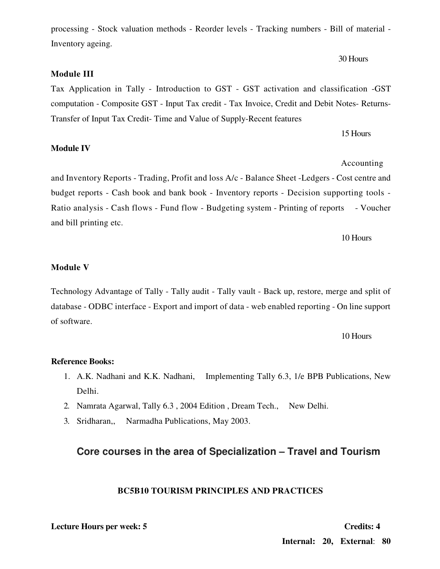**Credits: 4** 

# Internal: 20, External: 80

processing - Stock valuation methods - Reorder levels - Tracking numbers - Bill of material -Inventory ageing.

# Module III

Tax Application in Tally - Introduction to GST - GST activation and classification -GST computation - Composite GST - Input Tax credit - Tax Invoice, Credit and Debit Notes-Returns-Transfer of Input Tax Credit-Time and Value of Supply-Recent features

15 Hours

Accounting

# **Module IV**

and Inventory Reports - Trading, Profit and loss A/c - Balance Sheet - Ledgers - Cost centre and budget reports - Cash book and bank book - Inventory reports - Decision supporting tools -Ratio analysis - Cash flows - Fund flow - Budgeting system - Printing of reports - Voucher and bill printing etc.

10 Hours

# **Module V**

Technology Advantage of Tally - Tally audit - Tally vault - Back up, restore, merge and split of database - ODBC interface - Export and import of data - web enabled reporting - On line support of software.

10 Hours

# **Reference Books:**

- 1. A.K. Nadhani and K.K. Nadhani, Implementing Tally 6.3, 1/e BPB Publications, New Delhi.
- 2. Namrata Agarwal, Tally 6.3, 2004 Edition, Dream Tech., New Delhi.
- 3. Sridharan, Narmadha Publications, May 2003.

# Core courses in the area of Specialization - Travel and Tourism

# **BC5B10 TOURISM PRINCIPLES AND PRACTICES**

**Lecture Hours per week: 5** 

30 Hours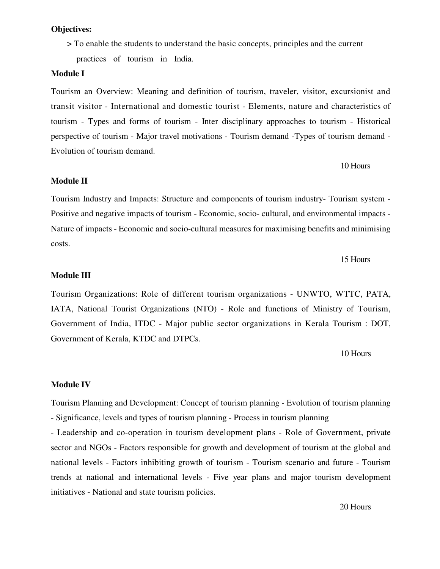# **Objectives:**

> To enable the students to understand the basic concepts, principles and the current

practices of tourism in India.

### **Module I**

Tourism an Overview: Meaning and definition of tourism, traveler, visitor, excursionist and transit visitor - International and domestic tourist - Elements, nature and characteristics of tourism - Types and forms of tourism - Inter disciplinary approaches to tourism - Historical perspective of tourism - Major travel motivations - Tourism demand - Types of tourism demand -Evolution of tourism demand.

# 10 Hours

### **Module II**

Tourism Industry and Impacts: Structure and components of tourism industry- Tourism system -Positive and negative impacts of tourism - Economic, socio- cultural, and environmental impacts -Nature of impacts - Economic and socio-cultural measures for maximising benefits and minimising costs.

# 15 Hours

# **Module III**

Tourism Organizations: Role of different tourism organizations - UNWTO, WTTC, PATA, IATA, National Tourist Organizations (NTO) - Role and functions of Ministry of Tourism, Government of India, ITDC - Major public sector organizations in Kerala Tourism : DOT, Government of Kerala, KTDC and DTPCs.

10 Hours

# **Module IV**

Tourism Planning and Development: Concept of tourism planning - Evolution of tourism planning - Significance, levels and types of tourism planning - Process in tourism planning

- Leadership and co-operation in tourism development plans - Role of Government, private sector and NGOs - Factors responsible for growth and development of tourism at the global and national levels - Factors inhibiting growth of tourism - Tourism scenario and future - Tourism trends at national and international levels - Five year plans and major tourism development initiatives - National and state tourism policies.

20 Hours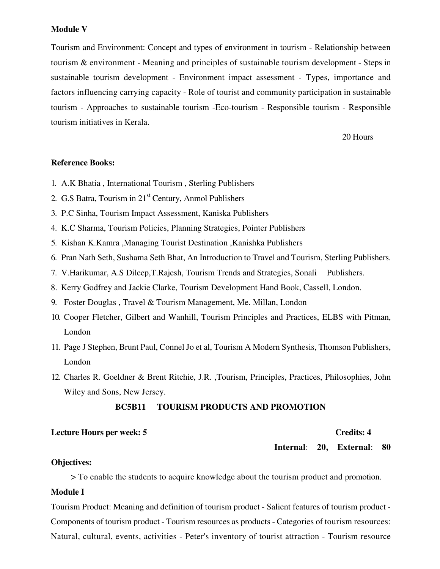#### **Module V**

Tourism and Environment: Concept and types of environment in tourism - Relationship between tourism & environment - Meaning and principles of sustainable tourism development - Steps in sustainable tourism development - Environment impact assessment - Types, importance and factors influencing carrying capacity - Role of tourist and community participation in sustainable tourism - Approaches to sustainable tourism - Eco-tourism - Responsible tourism - Responsible tourism initiatives in Kerala.

20 Hours

# **Reference Books:**

- 1. A.K Bhatia, International Tourism, Sterling Publishers
- 2. G.S Batra, Tourism in 21<sup>st</sup> Century, Anmol Publishers
- 3. P.C Sinha, Tourism Impact Assessment, Kaniska Publishers
- 4. K.C Sharma, Tourism Policies, Planning Strategies, Pointer Publishers
- 5. Kishan K.Kamra ,Managing Tourist Destination ,Kanishka Publishers
- 6. Pran Nath Seth, Sushama Seth Bhat, An Introduction to Travel and Tourism, Sterling Publishers.
- 7. V.Harikumar, A.S Dileep, T.Rajesh, Tourism Trends and Strategies, Sonali Publishers.
- 8. Kerry Godfrey and Jackie Clarke, Tourism Development Hand Book, Cassell, London.
- 9. Foster Douglas, Travel & Tourism Management, Me. Millan, London
- 10. Cooper Fletcher, Gilbert and Wanhill, Tourism Principles and Practices, ELBS with Pitman, London
- 11. Page J Stephen, Brunt Paul, Connel Jo et al, Tourism A Modern Synthesis, Thomson Publishers, London
- 12. Charles R. Goeldner & Brent Ritchie, J.R. Tourism, Principles, Practices, Philosophies, John Wiley and Sons, New Jersey.

#### **BC5B11 TOURISM PRODUCTS AND PROMOTION**

# **Lecture Hours per week: 5**

#### **Credits: 4**

Internal: 20, External: 80

# **Objectives:**

> To enable the students to acquire knowledge about the tourism product and promotion.

### **Module I**

Tourism Product: Meaning and definition of tourism product - Salient features of tourism product -Components of tourism product - Tourism resources as products - Categories of tourism resources: Natural, cultural, events, activities - Peter's inventory of tourist attraction - Tourism resource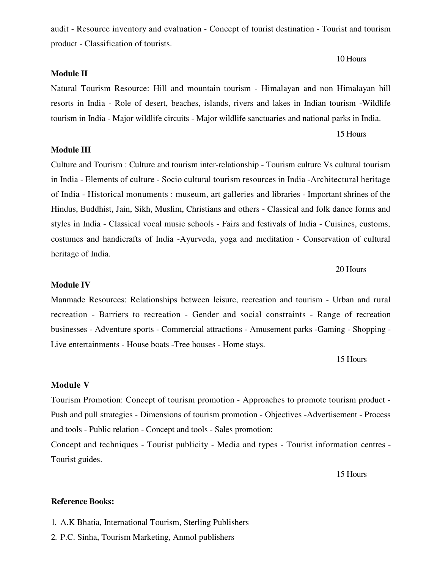audit - Resource inventory and evaluation - Concept of tourist destination - Tourist and tourism product - Classification of tourists.

### **Module II**

# Natural Tourism Resource: Hill and mountain tourism - Himalayan and non Himalayan hill resorts in India - Role of desert, beaches, islands, rivers and lakes in Indian tourism -Wildlife tourism in India - Major wildlife circuits - Major wildlife sanctuaries and national parks in India.

#### 15 Hours

10 Hours

### **Module III**

Culture and Tourism : Culture and tourism inter-relationship - Tourism culture Vs cultural tourism in India - Elements of culture - Socio cultural tourism resources in India - Architectural heritage of India - Historical monuments : museum, art galleries and libraries - Important shrines of the Hindus, Buddhist, Jain, Sikh, Muslim, Christians and others - Classical and folk dance forms and styles in India - Classical vocal music schools - Fairs and festivals of India - Cuisines, customs, costumes and handicrafts of India -Ayurveda, yoga and meditation - Conservation of cultural heritage of India.

#### 20 Hours

#### **Module IV**

Manmade Resources: Relationships between leisure, recreation and tourism - Urban and rural recreation - Barriers to recreation - Gender and social constraints - Range of recreation businesses - Adventure sports - Commercial attractions - Amusement parks -Gaming - Shopping -Live entertainments - House boats - Tree houses - Home stays.

15 Hours

#### **Module V**

Tourism Promotion: Concept of tourism promotion - Approaches to promote tourism product -Push and pull strategies - Dimensions of tourism promotion - Objectives - Advertisement - Process and tools - Public relation - Concept and tools - Sales promotion:

Concept and techniques - Tourist publicity - Media and types - Tourist information centres -Tourist guides.

15 Hours

#### **Reference Books:**

- 1. A.K Bhatia, International Tourism, Sterling Publishers
- 2. P.C. Sinha, Tourism Marketing, Anmol publishers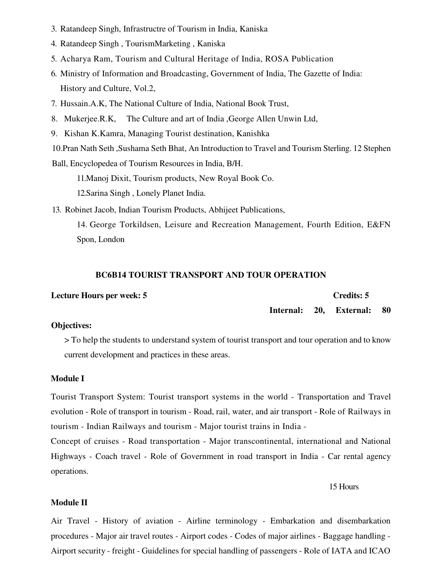- 3. Ratandeep Singh, Infrastructre of Tourism in India, Kaniska
- 4. Ratandeep Singh, TourismMarketing, Kaniska
- 5. Acharya Ram, Tourism and Cultural Heritage of India, ROSA Publication
- 6. Ministry of Information and Broadcasting, Government of India, The Gazette of India: History and Culture, Vol.2,
- 7. Hussain, A.K., The National Culture of India, National Book Trust,
- 8. Mukerjee.R.K, The Culture and art of India, George Allen Unwin Ltd,
- 9. Kishan K.Kamra, Managing Tourist destination, Kanishka

10. Pran Nath Seth, Sushama Seth Bhat, An Introduction to Travel and Tourism Sterling. 12 Stephen Ball, Encyclopedea of Tourism Resources in India, B/H.

11. Manoj Dixit, Tourism products, New Royal Book Co.

12. Sarina Singh, Lonely Planet India.

13. Robinet Jacob, Indian Tourism Products, Abhijeet Publications,

14. George Torkildsen, Leisure and Recreation Management, Fourth Edition, E&FN Spon, London

### **BC6B14 TOURIST TRANSPORT AND TOUR OPERATION**

| <b>Lecture Hours per week: 5</b> |  | Credits: 5              |      |
|----------------------------------|--|-------------------------|------|
|                                  |  | Internal: 20, External: | - 80 |

# **Objectives:**

> To help the students to understand system of tourist transport and tour operation and to know current development and practices in these areas.

### **Module I**

Tourist Transport System: Tourist transport systems in the world - Transportation and Travel evolution - Role of transport in tourism - Road, rail, water, and air transport - Role of Railways in tourism - Indian Railways and tourism - Major tourist trains in India -

Concept of cruises - Road transportation - Major transcontinental, international and National Highways - Coach travel - Role of Government in road transport in India - Car rental agency operations.

15 Hours

## **Module II**

Air Travel - History of aviation - Airline terminology - Embarkation and disembarkation procedures - Major air travel routes - Airport codes - Codes of major airlines - Baggage handling -Airport security - freight - Guidelines for special handling of passengers - Role of IATA and ICAO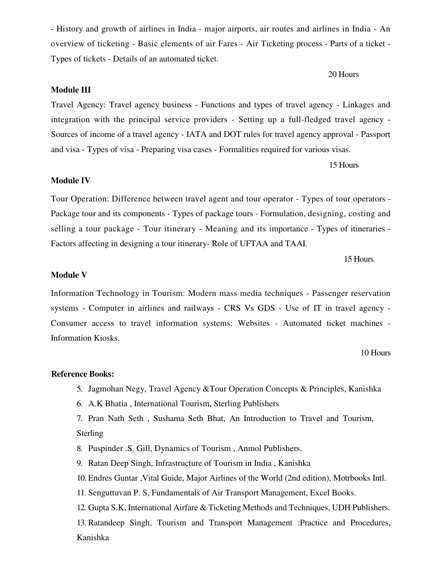- History and growth of airlines in India - major airports, air routes and airlines in India - An overview of ticketing - Basic elements of air Fares - Air Ticketing process - Parts of a ticket -Types of tickets - Details of an automated ticket.

# **Module III**

Travel Agency: Travel agency business - Functions and types of travel agency - Linkages and integration with the principal service providers - Setting up a full-fledged travel agency -Sources of income of a travel agency - IATA and DOT rules for travel agency approval - Passport and visa - Types of visa - Preparing visa cases - Formalities required for various visas.

15 Hours

20 Hours

### **Module IV**

Tour Operation: Difference between travel agent and tour operator - Types of tour operators -Package tour and its components - Types of package tours - Formulation, designing, costing and selling a tour package - Tour itinerary - Meaning and its importance - Types of itineraries -Factors affecting in designing a tour itinerary-Role of UFTAA and TAAI.

15 Hours

## **Module V**

Information Technology in Tourism: Modern mass media techniques - Passenger reservation systems - Computer in airlines and railways - CRS Vs GDS - Use of IT in travel agency -Consumer access to travel information systems: Websites - Automated ticket machines -**Information Kiosks.** 

10 Hours

#### **Reference Books:**

- 5. Jagmohan Negy, Travel Agency & Tour Operation Concepts & Principles, Kanishka
- 6. A.K Bhatia, International Tourism, Sterling Publishers

7. Pran Nath Seth, Sushama Seth Bhat, An Introduction to Travel and Tourism, Sterling

- 8. Puspinder .S. Gill, Dynamics of Tourism, Anmol Publishers.
- 9. Ratan Deep Singh, Infrastructure of Tourism in India, Kanishka
- 10. Endres Guntar, Vital Guide, Major Airlines of the World (2nd edition), Motrbooks Intl.
- 11. Senguttuvan P. S, Fundamentals of Air Transport Management, Excel Books.

12. Gupta S.K, International Airfare & Ticketing Methods and Techniques, UDH Publishers. 13. Ratandeep Singh, Tourism and Transport Management :Practice and Procedures, Kanishka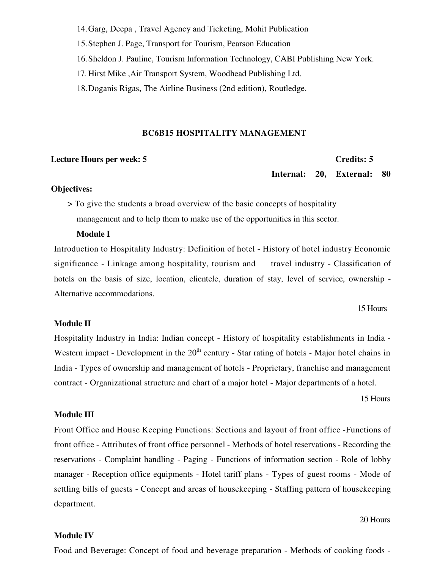14. Garg, Deepa, Travel Agency and Ticketing, Mohit Publication

15. Stephen J. Page, Transport for Tourism, Pearson Education

16. Sheldon J. Pauline, Tourism Information Technology, CABI Publishing New York.

17. Hirst Mike, Air Transport System, Woodhead Publishing Ltd.

18. Doganis Rigas, The Airline Business (2nd edition), Routledge.

#### **BC6B15 HOSPITALITY MANAGEMENT**

### **Lecture Hours per week: 5**

### **Credits: 5**

Internal: 20, External: 80

### **Objectives:**

> To give the students a broad overview of the basic concepts of hospitality management and to help them to make use of the opportunities in this sector.

# **Module I**

Introduction to Hospitality Industry: Definition of hotel - History of hotel industry Economic significance - Linkage among hospitality, tourism and travel industry - Classification of hotels on the basis of size, location, clientele, duration of stay, level of service, ownership -Alternative accommodations.

15 Hours

# **Module II**

Hospitality Industry in India: Indian concept - History of hospitality establishments in India -Western impact - Development in the  $20<sup>th</sup>$  century - Star rating of hotels - Major hotel chains in India - Types of ownership and management of hotels - Proprietary, franchise and management contract - Organizational structure and chart of a major hotel - Major departments of a hotel.

15 Hours

# **Module III**

Front Office and House Keeping Functions: Sections and layout of front office - Functions of front office - Attributes of front office personnel - Methods of hotel reservations - Recording the reservations - Complaint handling - Paging - Functions of information section - Role of lobby manager - Reception office equipments - Hotel tariff plans - Types of guest rooms - Mode of settling bills of guests - Concept and areas of house keeping - Staffing pattern of house keeping department.

#### 20 Hours

### **Module IV**

Food and Beverage: Concept of food and beverage preparation - Methods of cooking foods -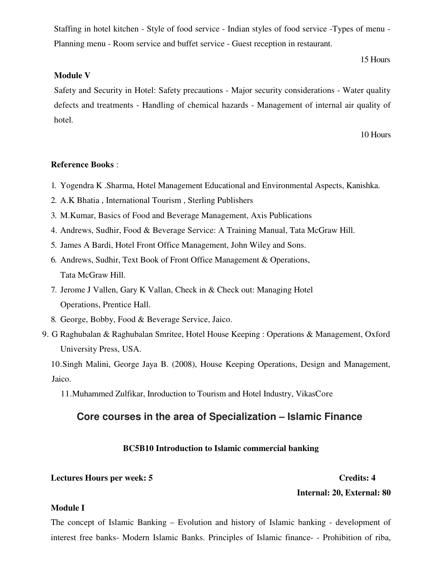Staffing in hotel kitchen - Style of food service - Indian styles of food service -Types of menu -Planning menu - Room service and buffet service - Guest reception in restaurant.

15 Hours

# **Module V**

Safety and Security in Hotel: Safety precautions - Major security considerations - Water quality defects and treatments - Handling of chemical hazards - Management of internal air quality of hotel.

10 Hours

## **Reference Books:**

- 1. Yogendra K .Sharma, Hotel Management Educational and Environmental Aspects, Kanishka.
- 2. A.K Bhatia, International Tourism, Sterling Publishers
- 3. M. Kumar, Basics of Food and Beverage Management, Axis Publications
- 4. Andrews, Sudhir, Food & Beverage Service: A Training Manual, Tata McGraw Hill.
- 5. James A Bardi, Hotel Front Office Management, John Wiley and Sons.
- 6. Andrews, Sudhir, Text Book of Front Office Management & Operations, Tata McGraw Hill.
- 7. Jerome J Vallen, Gary K Vallan, Check in & Check out: Managing Hotel Operations, Prentice Hall.
- 8. George, Bobby, Food & Beverage Service, Jaico.
- 9. G Raghubalan & Raghubalan Smritee, Hotel House Keeping : Operations & Management, Oxford University Press, USA.

10. Singh Malini, George Jaya B. (2008), House Keeping Operations, Design and Management, Jaico.

11. Muhammed Zulfikar, Inroduction to Tourism and Hotel Industry, VikasCore

# Core courses in the area of Specialization - Islamic Finance

# **BC5B10 Introduction to Islamic commercial banking**

# **Lectures Hours per week: 5**

# **Credits: 4**

# Internal: 20, External: 80

### **Module I**

The concept of Islamic Banking – Evolution and history of Islamic banking - development of interest free banks- Modern Islamic Banks. Principles of Islamic finance- - Prohibition of riba,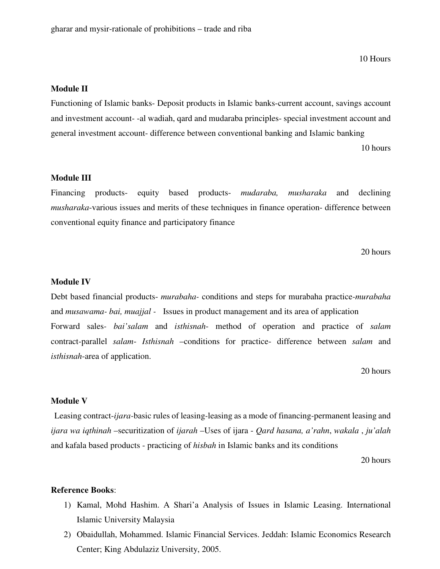10 Hours

### **Module II**

Functioning of Islamic banks-Deposit products in Islamic banks-current account, savings account and investment account--al wadiah, qard and mudaraba principles- special investment account and general investment account- difference between conventional banking and Islamic banking

10 hours

# **Module III**

Financing products- equity based products- mudaraba, musharaka and declining *musharaka*-various issues and merits of these techniques in finance operation- difference between conventional equity finance and participatory finance

20 hours

#### **Module IV**

Debt based financial products-*murabaha*- conditions and steps for murabaha practice-*murabaha* and *musawama-bai, muajjal* - Issues in product management and its area of application Forward sales- bai'salam and isthisnah- method of operation and practice of salam contract-parallel salam- Isthisnah -conditions for practice- difference between salam and *isthisnah*-area of application.

20 hours

# Module V

Leasing contract-*ijara*-basic rules of leasing-leasing as a mode of financing-permanent leasing and ijara wa iqthinah -securitization of ijarah -Uses of ijara - Qard hasana, a'rahn, wakala, ju'alah and kafala based products - practicing of *hisbah* in Islamic banks and its conditions

20 hours

# **Reference Books:**

- 1) Kamal, Mohd Hashim. A Shari'a Analysis of Issues in Islamic Leasing. International Islamic University Malaysia
- 2) Obaidullah, Mohammed, Islamic Financial Services, Jeddah: Islamic Economics Research Center; King Abdulaziz University, 2005.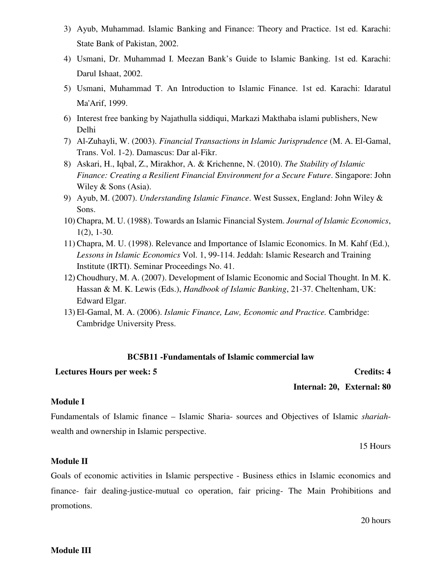- 3) Ayub, Muhammad. Islamic Banking and Finance: Theory and Practice. 1st ed. Karachi: State Bank of Pakistan, 2002.
- 4) Usmani, Dr. Muhammad I. Meezan Bank's Guide to Islamic Banking. 1st ed. Karachi: Darul Ishaat, 2002.
- 5) Usmani, Muhammad T. An Introduction to Islamic Finance. 1st ed. Karachi: Idaratul Ma'Arif, 1999.
- 6) Interest free banking by Najathulla siddiqui, Markazi Makthaba islami publishers, New Delhi
- 7) Al-Zuhayli, W. (2003). Financial Transactions in Islamic Jurisprudence (M. A. El-Gamal, Trans. Vol. 1-2). Damascus: Dar al-Fikr.
- 8) Askari, H., Iqbal, Z., Mirakhor, A. & Krichenne, N. (2010). The Stability of Islamic Finance: Creating a Resilient Financial Environment for a Secure Future. Singapore: John Wiley & Sons (Asia).
- 9) Ayub, M. (2007). Understanding Islamic Finance. West Sussex, England: John Wiley & Sons.
- 10) Chapra, M. U. (1988). Towards an Islamic Financial System. Journal of Islamic Economics,  $1(2)$ , 1-30.
- 11) Chapra, M. U. (1998). Relevance and Importance of Islamic Economics. In M. Kahf (Ed.), Lessons in Islamic Economics Vol. 1, 99-114. Jeddah: Islamic Research and Training Institute (IRTI). Seminar Proceedings No. 41.
- 12) Choudhury, M. A. (2007). Development of Islamic Economic and Social Thought. In M. K. Hassan & M. K. Lewis (Eds.), *Handbook of Islamic Banking*, 21-37. Cheltenham, UK: Edward Elgar.
- 13) El-Gamal, M. A. (2006). Islamic Finance, Law, Economic and Practice. Cambridge: Cambridge University Press.

# **BC5B11** -Fundamentals of Islamic commercial law

# **Lectures Hours per week: 5**

Internal: 20, External: 80

# **Module I**

Fundamentals of Islamic finance – Islamic Sharia-sources and Objectives of Islamic shariahwealth and ownership in Islamic perspective.

15 Hours

**Credits: 4** 

# **Module II**

Goals of economic activities in Islamic perspective - Business ethics in Islamic economics and finance- fair dealing-justice-mutual co operation, fair pricing- The Main Prohibitions and promotions.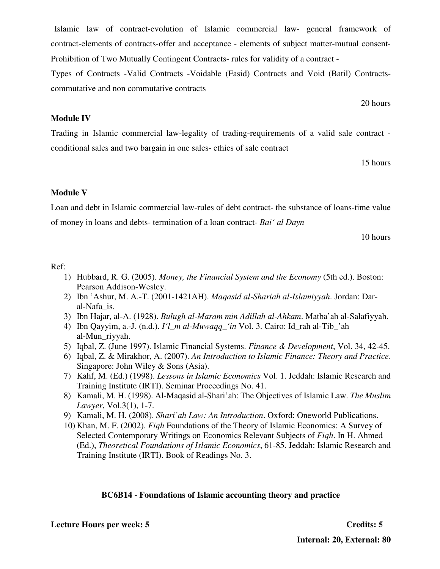# **Lecture Hours per week: 5**

Islamic law of contract-evolution of Islamic commercial law- general framework of contract-elements of contracts-offer and acceptance - elements of subject matter-mutual consent-Prohibition of Two Mutually Contingent Contracts- rules for validity of a contract -

Types of Contracts -Valid Contracts -Voidable (Fasid) Contracts and Void (Batil) Contractscommutative and non commutative contracts

# **Module IV**

Trading in Islamic commercial law-legality of trading-requirements of a valid sale contract conditional sales and two bargain in one sales-ethics of sale contract

15 hours

20 hours

# **Module V**

Loan and debt in Islamic commercial law-rules of debt contract- the substance of loans-time value of money in loans and debts-termination of a loan contract- Bai' al Dayn

10 hours

# Ref:

- 1) Hubbard, R. G. (2005). Money, the Financial System and the Economy (5th ed.). Boston: Pearson Addison-Wesley.
- 2) Ibn 'Ashur, M. A.-T. (2001-1421AH). Magasid al-Shariah al-Islamiyyah. Jordan: Daral-Nafa is.
- 3) Ibn Hajar, al-A. (1928). Bulugh al-Maram min Adillah al-Ahkam. Matba'ah al-Salafiyyah.
- 4) Ibn Qayyim, a.-J. (n.d.). I'l\_m al-Muwaqq\_'in Vol. 3. Cairo: Id\_rah al-Tib\_'ah al-Mun rivyah.
- 5) Iqbal, Z. (June 1997). Islamic Financial Systems. *Finance & Development*, Vol. 34, 42-45.
- 6) Igbal, Z. & Mirakhor, A. (2007). An Introduction to Islamic Finance: Theory and Practice. Singapore: John Wiley & Sons (Asia).
- 7) Kahf, M. (Ed.) (1998). Lessons in Islamic Economics Vol. 1. Jeddah: Islamic Research and Training Institute (IRTI). Seminar Proceedings No. 41.
- 8) Kamali, M. H. (1998). Al-Maqasid al-Shari'ah: The Objectives of Islamic Law. The Muslim Lawyer, Vol.3(1), 1-7.
- 9) Kamali, M. H. (2008). Shari'ah Law: An Introduction. Oxford: Oneworld Publications.
- 10) Khan, M. F. (2002). *Figh* Foundations of the Theory of Islamic Economics: A Survey of Selected Contemporary Writings on Economics Relevant Subjects of *Figh*. In H. Ahmed (Ed.), *Theoretical Foundations of Islamic Economics*, 61-85. Jeddah: Islamic Research and Training Institute (IRTI). Book of Readings No. 3.

# **BC6B14** - Foundations of Islamic accounting theory and practice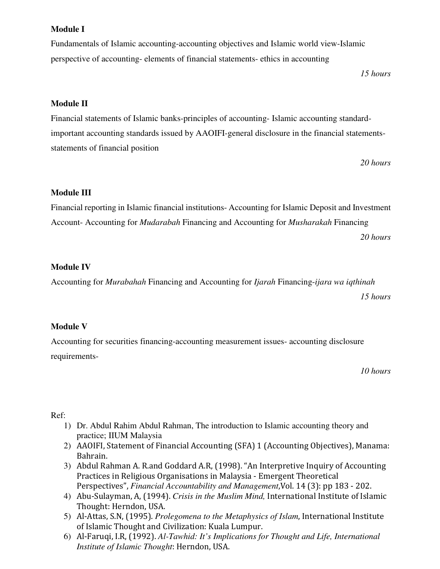# **Module I**

Fundamentals of Islamic accounting-accounting objectives and Islamic world view-Islamic perspective of accounting-elements of financial statements-ethics in accounting

15 hours

# **Module II**

Financial statements of Islamic banks-principles of accounting-Islamic accounting standardimportant accounting standards issued by AAOIFI-general disclosure in the financial statementsstatements of financial position

20 hours

# **Module III**

Financial reporting in Islamic financial institutions-Accounting for Islamic Deposit and Investment Account-Accounting for *Mudarabah* Financing and Accounting for *Musharakah* Financing 20 hours

# **Module IV**

Accounting for *Murabahah* Financing and Accounting for *Ijarah* Financing-*ijara wa igthinah* 

15 hours

# **Module V**

Accounting for securities financing-accounting measurement issues- accounting disclosure requirements-

10 hours

# Ref:

- 1) Dr. Abdul Rahim Abdul Rahman, The introduction to Islamic accounting theory and practice; IIUM Malaysia
- 2) AAOIFI, Statement of Financial Accounting (SFA) 1 (Accounting Objectives), Manama: Bahrain.
- 3) Abdul Rahman A. R.and Goddard A.R. (1998). "An Interpretive Inquiry of Accounting Practices in Religious Organisations in Malaysia - Emergent Theoretical Perspectives", Financial Accountability and Management, Vol. 14 (3): pp 183 - 202.
- 4) Abu-Sulayman, A, (1994). Crisis in the Muslim Mind, International Institute of Islamic Thought: Herndon, USA.
- 5) Al-Attas, S.N, (1995). Prolegomena to the Metaphysics of Islam, International Institute of Islamic Thought and Civilization: Kuala Lumpur.
- 6) Al-Faruqi, I.R. (1992). Al-Tawhid: It's Implications for Thought and Life, International Institute of Islamic Thought: Herndon, USA.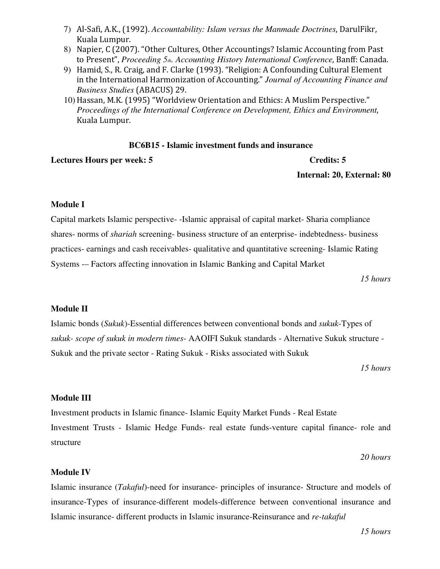- 7) Al-Safi, A.K., (1992). Accountability: Islam versus the Manmade Doctrines, DarulFikr, Kuala Lumpur.
- 8) Napier, C (2007). "Other Cultures, Other Accountings? Islamic Accounting from Past to Present", Proceeding 5th. Accounting History International Conference, Banff: Canada.
- 9) Hamid, S., R. Craig, and F. Clarke (1993). "Religion: A Confounding Cultural Element in the International Harmonization of Accounting." Journal of Accounting Finance and **Business Studies (ABACUS) 29.**
- 10) Hassan, M.K. (1995) "Worldview Orientation and Ethics: A Muslim Perspective." Proceedings of the International Conference on Development, Ethics and Environment, Kuala Lumpur.

# **BC6B15** - Islamic investment funds and insurance

**Lectures Hours per week: 5** 

## **Credits: 5**

Internal: 20, External: 80

# **Module I**

Capital markets Islamic perspective--Islamic appraisal of capital market-Sharia compliance shares- norms of *shariah* screening- business structure of an enterprise- indebtedness- business practices-earnings and cash receivables-qualitative and quantitative screening-Islamic Rating Systems - Factors affecting innovation in Islamic Banking and Capital Market

15 hours

# **Module II**

Islamic bonds (Sukuk)-Essential differences between conventional bonds and sukuk-Types of sukuk- scope of sukuk in modern times- AAOIFI Sukuk standards - Alternative Sukuk structure -Sukuk and the private sector - Rating Sukuk - Risks associated with Sukuk

15 hours

# **Module III**

Investment products in Islamic finance- Islamic Equity Market Funds - Real Estate Investment Trusts - Islamic Hedge Funds- real estate funds-venture capital finance- role and structure

20 hours

# **Module IV**

Islamic insurance (Takaful)-need for insurance- principles of insurance- Structure and models of insurance-Types of insurance-different models-difference between conventional insurance and Islamic insurance- different products in Islamic insurance-Reinsurance and re-takaful

15 hours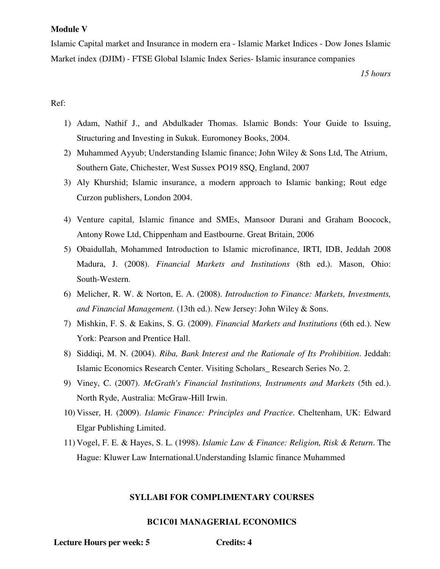### **Module V**

Islamic Capital market and Insurance in modern era - Islamic Market Indices - Dow Jones Islamic Market index (DJIM) - FTSE Global Islamic Index Series- Islamic insurance companies

15 hours

# Ref:

- 1) Adam, Nathif J., and Abdulkader Thomas. Islamic Bonds: Your Guide to Issuing, Structuring and Investing in Sukuk. Euromoney Books, 2004.
- 2) Muhammed Ayyub; Understanding Islamic finance; John Wiley & Sons Ltd, The Atrium, Southern Gate, Chichester, West Sussex PO19 8SQ, England, 2007
- 3) Aly Khurshid; Islamic insurance, a modern approach to Islamic banking; Rout edge Curzon publishers, London 2004.
- 4) Venture capital, Islamic finance and SMEs, Mansoor Durani and Graham Boocock, Antony Rowe Ltd, Chippenham and Eastbourne. Great Britain, 2006
- 5) Obaidullah, Mohammed Introduction to Islamic microfinance, IRTI, IDB, Jeddah 2008 Madura, J. (2008). Financial Markets and Institutions (8th ed.). Mason, Ohio: South-Western.
- 6) Melicher, R. W. & Norton, E. A. (2008). Introduction to Finance: Markets, Investments, and Financial Management. (13th ed.). New Jersey: John Wiley & Sons.
- 7) Mishkin, F. S. & Eakins, S. G. (2009). Financial Markets and Institutions (6th ed.). New York: Pearson and Prentice Hall.
- 8) Siddiqi, M. N. (2004). Riba, Bank Interest and the Rationale of Its Prohibition. Jeddah: Islamic Economics Research Center. Visiting Scholars\_Research Series No. 2.
- 9) Viney, C. (2007). McGrath's Financial Institutions, Instruments and Markets (5th ed.). North Ryde, Australia: McGraw-Hill Irwin.
- 10) Visser, H. (2009). *Islamic Finance: Principles and Practice*. Cheltenham, UK: Edward Elgar Publishing Limited.
- 11) Vogel, F. E. & Hayes, S. L. (1998). Islamic Law & Finance: Religion, Risk & Return. The Hague: Kluwer Law International. Understanding Islamic finance Muhammed

# **SYLLABI FOR COMPLIMENTARY COURSES**

# **BC1C01 MANAGERIAL ECONOMICS**

**Lecture Hours per week: 5** 

**Credits: 4**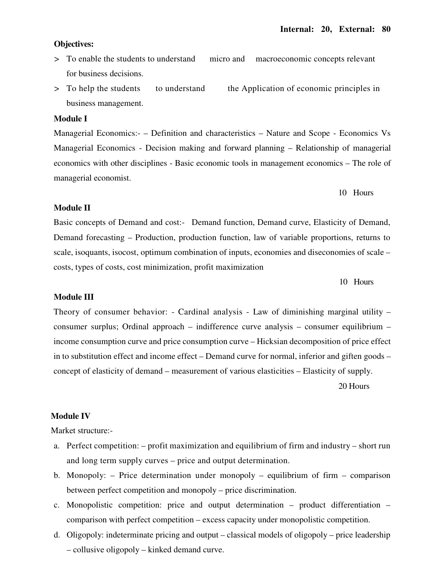#### **Objectives:**

- > To enable the students to understand micro and macroeconomic concepts relevant for business decisions.
- > To help the students the Application of economic principles in to understand business management.

# **Module I**

Managerial Economics:- – Definition and characteristics – Nature and Scope - Economics Vs Managerial Economics - Decision making and forward planning – Relationship of managerial economics with other disciplines - Basic economic tools in management economics – The role of managerial economist.

#### 10 Hours

#### **Module II**

Basic concepts of Demand and cost:- Demand function, Demand curve, Elasticity of Demand, Demand forecasting – Production, production function, law of variable proportions, returns to scale, isoquants, isocost, optimum combination of inputs, economies and diseconomies of scale – costs, types of costs, cost minimization, profit maximization

10 Hours

#### **Module III**

Theory of consumer behavior: - Cardinal analysis - Law of diminishing marginal utility consumer surplus; Ordinal approach – indifference curve analysis – consumer equilibrium – income consumption curve and price consumption curve – Hicksian decomposition of price effect in to substitution effect and income effect – Demand curve for normal, inferior and giften goods – concept of elasticity of demand – measurement of various elasticities – Elasticity of supply. 20 Hours

#### **Module IV**

Market structure:-

- a. Perfect competition: profit maximization and equilibrium of firm and industry short run and long term supply curves – price and output determination.
- b. Monopoly:  $-$  Price determination under monopoly  $-$  equilibrium of firm  $-$  comparison between perfect competition and monopoly – price discrimination.
- c. Monopolistic competition: price and output determination product differentiation comparison with perfect competition – excess capacity under monopolistic competition.
- d. Oligopoly: indeterminate pricing and output classical models of oligopoly price leadership - collusive oligopoly - kinked demand curve.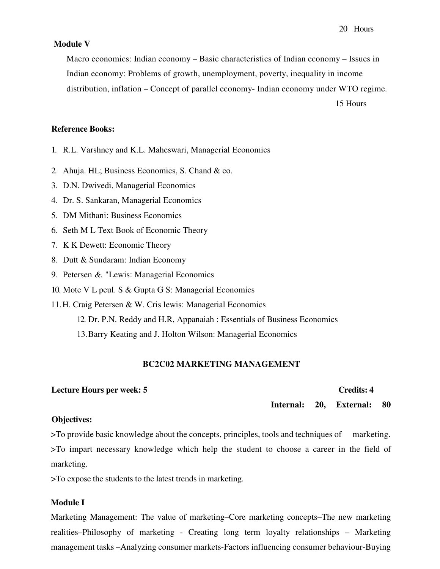#### **Module V**

Macro economics: Indian economy – Basic characteristics of Indian economy – Issues in Indian economy: Problems of growth, unemployment, poverty, inequality in income distribution, inflation – Concept of parallel economy- Indian economy under WTO regime. 15 Hours

#### **Reference Books:**

- 1. R.L. Varshney and K.L. Maheswari, Managerial Economics
- 2. Ahuja. HL; Business Economics, S. Chand & co.
- 3. D.N. Dwivedi, Managerial Economics
- 4. Dr. S. Sankaran, Managerial Economics
- 5. DM Mithani: Business Economics
- 6. Seth M L Text Book of Economic Theory
- 7. K K Dewett: Economic Theory
- 8. Dutt & Sundaram: Indian Economy
- 9. Petersen  $\&$ . "Lewis: Managerial Economics"
- 10. Mote V L peul. S & Gupta G S: Managerial Economics
- 11.H. Craig Petersen & W. Cris lewis: Managerial Economics

12. Dr. P.N. Reddy and H.R, Appanaiah : Essentials of Business Economics

13. Barry Keating and J. Holton Wilson: Managerial Economics

#### **BC2C02 MARKETING MANAGEMENT**

#### **Lecture Hours per week: 5**

**Credits: 4** 

Internal: **20. External:** 80

#### **Objectives:**

>To provide basic knowledge about the concepts, principles, tools and techniques of marketing. >To impart necessary knowledge which help the student to choose a career in the field of marketing.

>To expose the students to the latest trends in marketing.

### **Module I**

Marketing Management: The value of marketing–Core marketing concepts–The new marketing realities–Philosophy of marketing - Creating long term loyalty relationships – Marketing management tasks – Analyzing consumer markets-Factors influencing consumer behaviour-Buying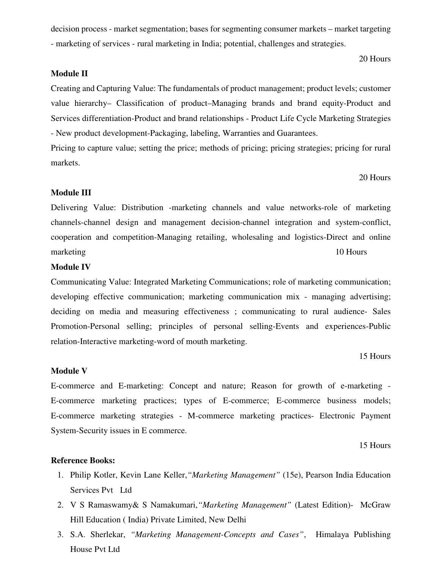decision process - market segmentation; bases for segmenting consumer markets – market targeting - marketing of services - rural marketing in India; potential, challenges and strategies.

20 Hours

# **Module II**

Creating and Capturing Value: The fundamentals of product management; product levels; customer value hierarchy- Classification of product-Managing brands and brand equity-Product and Services differentiation-Product and brand relationships - Product Life Cycle Marketing Strategies - New product development-Packaging, labeling, Warranties and Guarantees.

Pricing to capture value; setting the price; methods of pricing; pricing strategies; pricing for rural markets.

20 Hours

# **Module III**

Delivering Value: Distribution -marketing channels and value networks-role of marketing channels-channel design and management decision-channel integration and system-conflict, cooperation and competition-Managing retailing, wholesaling and logistics-Direct and online marketing 10 Hours

### **Module IV**

Communicating Value: Integrated Marketing Communications; role of marketing communication; developing effective communication; marketing communication mix - managing advertising; deciding on media and measuring effectiveness; communicating to rural audience- Sales Promotion-Personal selling; principles of personal selling-Events and experiences-Public relation-Interactive marketing-word of mouth marketing.

15 Hours

### **Module V**

E-commerce and E-marketing: Concept and nature; Reason for growth of e-marketing -E-commerce marketing practices; types of E-commerce; E-commerce business models; E-commerce marketing strategies - M-commerce marketing practices- Electronic Payment System-Security issues in E commerce.

15 Hours

#### **Reference Books:**

- 1. Philip Kotler, Kevin Lane Keller, "Marketing Management" (15e), Pearson India Education Services Pvt Ltd
- 2. V S Ramaswamy& S Namakumari, "Marketing Management" (Latest Edition)- McGraw Hill Education (India) Private Limited, New Delhi
- 3. S.A. Sherlekar, "Marketing Management-Concepts and Cases", Himalaya Publishing House Pvt Ltd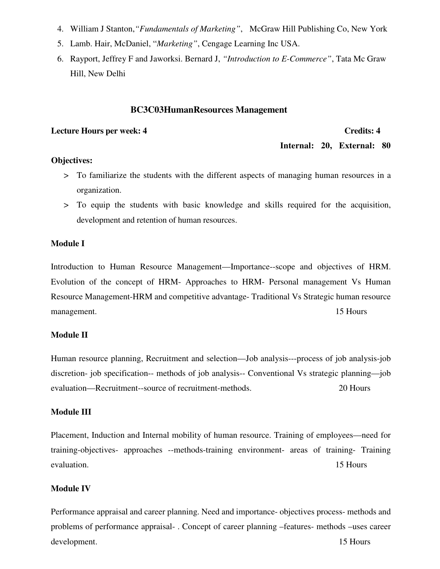- 4. William J Stanton, "*Fundamentals of Marketing*", McGraw Hill Publishing Co, New York
- 5. Lamb. Hair, McDaniel, "Marketing", Cengage Learning Inc USA.
- 6. Rayport, Jeffrey F and Jaworksi. Bernard J, "Introduction to E-Commerce", Tata Mc Graw Hill. New Delhi

## **BC3C03HumanResources Management**

### **Lecture Hours per week: 4**

## **Credits: 4**

Internal: 20, External: 80

# **Objectives:**

- > To familiarize the students with the different aspects of managing human resources in a organization.
- > To equip the students with basic knowledge and skills required for the acquisition, development and retention of human resources.

# Module I

Introduction to Human Resource Management—Importance--scope and objectives of HRM. Evolution of the concept of HRM- Approaches to HRM- Personal management Vs Human Resource Management-HRM and competitive advantage-Traditional Vs Strategic human resource management. 15 Hours

# **Module II**

Human resource planning, Recruitment and selection—Job analysis—process of job analysis-job discretion- job specification-- methods of job analysis-- Conventional Vs strategic planning-job evaluation—Recruitment--source of recruitment-methods. 20 Hours

## **Module III**

Placement, Induction and Internal mobility of human resource. Training of employees—need for training-objectives- approaches --methods-training environment- areas of training- Training 15 Hours evaluation.

# **Module IV**

Performance appraisal and career planning. Need and importance- objectives process- methods and problems of performance appraisal -. Concept of career planning -features - methods -uses career development. 15 Hours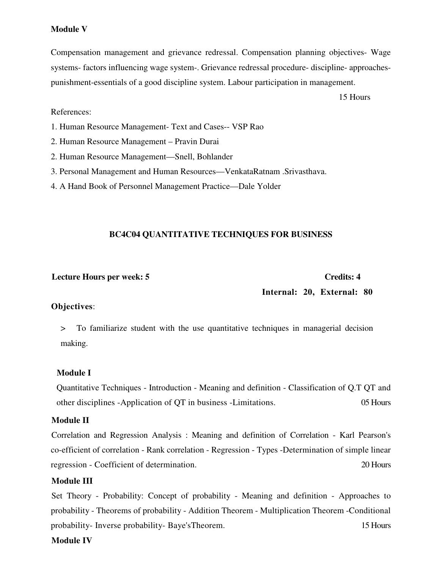# **Module V**

Compensation management and grievance redressal. Compensation planning objectives- Wage systems-factors influencing wage system-. Grievance redressal procedure-discipline-approachespunishment-essentials of a good discipline system. Labour participation in management.

15 Hours

# References:

- 1. Human Resource Management- Text and Cases-- VSP Rao
- 2. Human Resource Management Pravin Durai
- 2. Human Resource Management—Snell, Bohlander
- 3. Personal Management and Human Resources—VenkataRatnam .Srivasthava.
- 4. A Hand Book of Personnel Management Practice—Dale Yolder

# **BC4C04 QUANTITATIVE TECHNIQUES FOR BUSINESS**

## **Lecture Hours per week: 5**

# **Credits: 4**

# Internal: 20, External: 80

## Objectives:

To familiarize student with the use quantitative techniques in managerial decision  $\geq$ making.

## **Module I**

Quantitative Techniques - Introduction - Meaning and definition - Classification of Q.T QT and other disciplines -Application of QT in business -Limitations. 05 Hours

# **Module II**

Correlation and Regression Analysis: Meaning and definition of Correlation - Karl Pearson's co-efficient of correlation - Rank correlation - Regression - Types -Determination of simple linear regression - Coefficient of determination. 20 Hours

## **Module III**

Set Theory - Probability: Concept of probability - Meaning and definition - Approaches to probability - Theorems of probability - Addition Theorem - Multiplication Theorem - Conditional probability- Inverse probability- Baye's Theorem. 15 Hours

# **Module IV**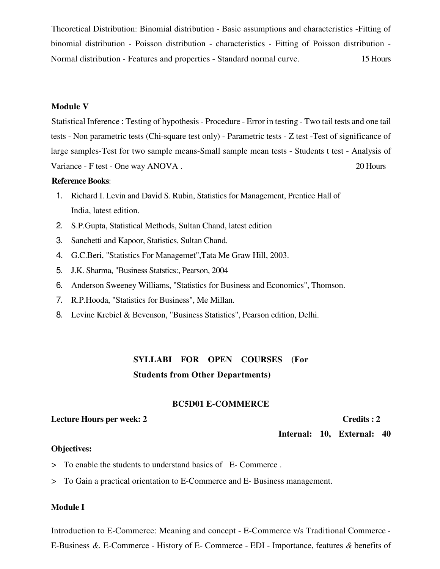Theoretical Distribution: Binomial distribution - Basic assumptions and characteristics -Fitting of binomial distribution - Poisson distribution - characteristics - Fitting of Poisson distribution -Normal distribution - Features and properties - Standard normal curve. 15 Hours

# **Module V**

Statistical Inference : Testing of hypothesis - Procedure - Error in testing - Two tail tests and one tail tests - Non parametric tests (Chi-square test only) - Parametric tests - Z test - Test of significance of large samples-Test for two sample means-Small sample mean tests - Students t test - Analysis of Variance - F test - One way ANOVA. 20 Hours

### **Reference Books:**

- 1. Richard I. Levin and David S. Rubin, Statistics for Management, Prentice Hall of India. latest edition.
- 2. S.P.Gupta, Statistical Methods, Sultan Chand, latest edition
- 3. Sanchetti and Kapoor, Statistics, Sultan Chand.
- 4. G.C.Beri, "Statistics For Managemet", Tata Me Graw Hill, 2003.
- 5. J.K. Sharma, "Business Statstics:, Pearson, 2004
- 6. Anderson Sweeney Williams, "Statistics for Business and Economics", Thomson.
- 7. R.P. Hooda, "Statistics for Business", Me Millan.
- 8. Levine Krebiel & Bevenson, "Business Statistics", Pearson edition, Delhi.

# SYLLABI FOR OPEN COURSES (For **Students from Other Departments)**

## **BC5D01 E-COMMERCE**

# **Lecture Hours per week: 2**

Credits: 2

Internal: 10, External: 40

## **Objectives:**

- > To enable the students to understand basics of E-Commerce.
- > To Gain a practical orientation to E-Commerce and E-Business management.

### **Module I**

Introduction to E-Commerce: Meaning and concept - E-Commerce v/s Traditional Commerce -E-Business &. E-Commerce - History of E-Commerce - EDI - Importance, features & benefits of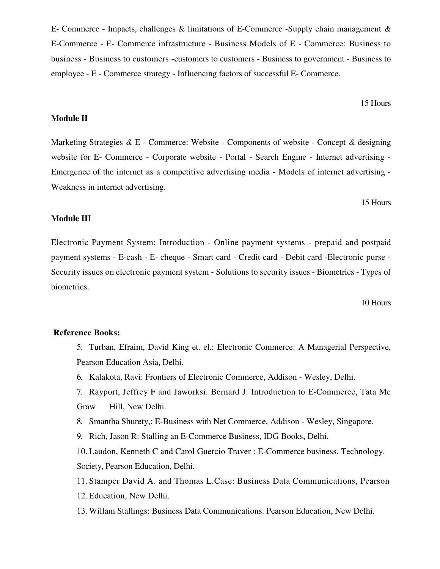E- Commerce - Impacts, challenges & limitations of E-Commerce -Supply chain management & E-Commerce - E- Commerce infrastructure - Business Models of E - Commerce: Business to business - Business to customers - customers to customers - Business to government - Business to employee - E - Commerce strategy - Influencing factors of successful E- Commerce.

15 Hours

# **Module II**

Marketing Strategies & E - Commerce: Website - Components of website - Concept & designing website for E- Commerce - Corporate website - Portal - Search Engine - Internet advertising -Emergence of the internet as a competitive advertising media - Models of internet advertising -Weakness in internet advertising.

15 Hours

# **Module III**

Electronic Payment System: Introduction - Online payment systems - prepaid and postpaid payment systems - E-cash - E- cheque - Smart card - Credit card - Debit card - Electronic purse -Security issues on electronic payment system - Solutions to security issues - Biometrics - Types of biometrics.

10 Hours

#### **Reference Books:**

5. Turban, Efraim, David King et. el.: Electronic Commerce: A Managerial Perspective, Pearson Education Asia, Delhi.

- 6. Kalakota, Ravi: Frontiers of Electronic Commerce, Addison Wesley, Delhi.
- 7. Rayport, Jeffrey F and Jaworksi. Bernard J: Introduction to E-Commerce, Tata Me Graw Hill, New Delhi.
- 8. Smantha Shurety,: E-Business with Net Commerce, Addison Wesley, Singapore.
- 9. Rich, Jason R: Stalling an E-Commerce Business, IDG Books, Delhi.

10. Laudon, Kenneth C and Carol Guercio Traver : E-Commerce business. Technology. Society, Pearson Education, Delhi.

11. Stamper David A. and Thomas L.Case: Business Data Communications, Pearson

- 12. Education, New Delhi.
- 13. Willam Stallings: Business Data Communications. Pearson Education, New Delhi.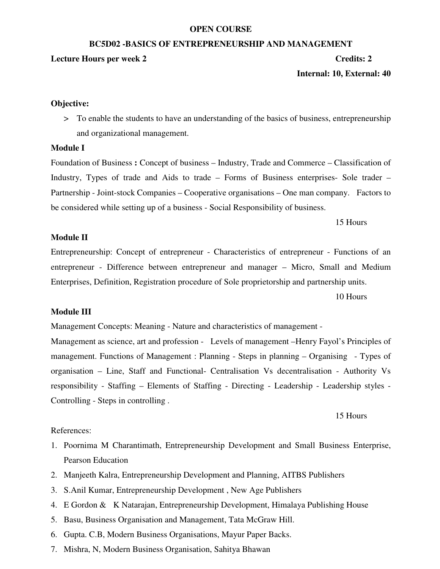#### **OPEN COURSE**

#### **BC5D02-BASICS OF ENTREPRENEURSHIP AND MANAGEMENT**

### **Lecture Hours per week 2**

# **Credits: 2**

Internal: 10, External: 40

# **Objective:**

> To enable the students to have an understanding of the basics of business, entrepreneurship and organizational management.

# **Module I**

Foundation of Business: Concept of business – Industry, Trade and Commerce – Classification of Industry, Types of trade and Aids to trade – Forms of Business enterprises- Sole trader – Partnership - Joint-stock Companies – Cooperative organisations – One man company. Factors to be considered while setting up of a business - Social Responsibility of business.

15 Hours

# **Module II**

Entrepreneurship: Concept of entrepreneur - Characteristics of entrepreneur - Functions of an entrepreneur - Difference between entrepreneur and manager – Micro, Small and Medium Enterprises, Definition, Registration procedure of Sole proprietorship and partnership units.

10 Hours

# **Module III**

Management Concepts: Meaning - Nature and characteristics of management -

Management as science, art and profession - Levels of management -Henry Fayol's Principles of management. Functions of Management : Planning - Steps in planning – Organising - Types of organisation - Line, Staff and Functional- Centralisation Vs decentralisation - Authority Vs responsibility - Staffing – Elements of Staffing - Directing - Leadership - Leadership styles -Controlling - Steps in controlling.

15 Hours

# References:

- 1. Poornima M Charantimath, Entrepreneurship Development and Small Business Enterprise, **Pearson Education**
- 2. Manjeeth Kalra, Entrepreneurship Development and Planning, AITBS Publishers
- 3. S. Anil Kumar, Entrepreneurship Development, New Age Publishers
- 4. E Gordon & K Natarajan, Entrepreneurship Development, Himalaya Publishing House
- 5. Basu, Business Organisation and Management, Tata McGraw Hill.
- 6. Gupta. C.B, Modern Business Organisations, Mayur Paper Backs.
- 7. Mishra, N, Modern Business Organisation, Sahitya Bhawan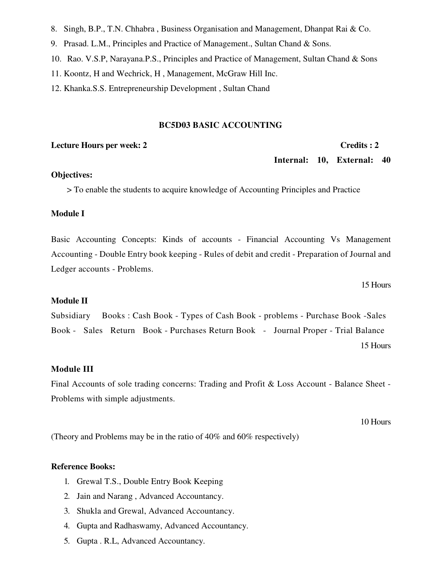- 8. Singh, B.P., T.N. Chhabra, Business Organisation and Management, Dhanpat Rai & Co.
- 9. Prasad. L.M., Principles and Practice of Management., Sultan Chand & Sons.
- 10. Rao. V.S.P, Narayana.P.S., Principles and Practice of Management, Sultan Chand & Sons
- 11. Koontz, H and Wechrick, H, Management, McGraw Hill Inc.
- 12. Khanka.S.S. Entrepreneurship Development, Sultan Chand

### **BC5D03 BASIC ACCOUNTING**

#### **Lecture Hours per week: 2**

#### Credits: 2

Internal: 10, External: 40

### **Objectives:**

> To enable the students to acquire knowledge of Accounting Principles and Practice

### **Module I**

Basic Accounting Concepts: Kinds of accounts - Financial Accounting Vs Management Accounting - Double Entry book keeping - Rules of debit and credit - Preparation of Journal and Ledger accounts - Problems.

15 Hours

# **Module II**

Subsidiary Books: Cash Book - Types of Cash Book - problems - Purchase Book - Sales Book - Sales Return Book - Purchases Return Book - Journal Proper - Trial Balance 15 Hours

# **Module III**

Final Accounts of sole trading concerns: Trading and Profit & Loss Account - Balance Sheet -Problems with simple adjustments.

10 Hours

(Theory and Problems may be in the ratio of 40% and 60% respectively)

## **Reference Books:**

- 1. Grewal T.S., Double Entry Book Keeping
- 2. Jain and Narang, Advanced Accountancy.
- 3. Shukla and Grewal, Advanced Accountancy.
- 4. Gupta and Radhaswamy, Advanced Accountancy.
- 5. Gupta . R.L, Advanced Accountancy.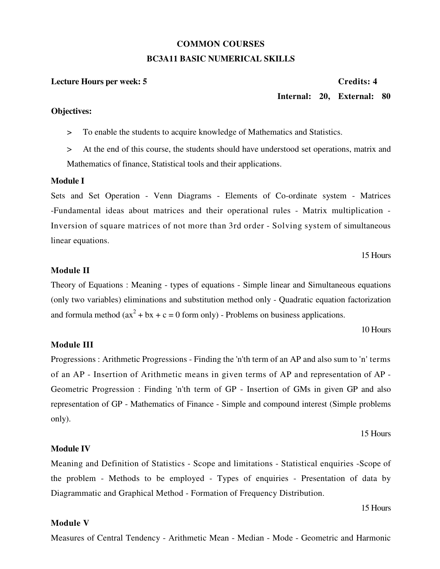## **COMMON COURSES BC3A11 BASIC NUMERICAL SKILLS**

#### **Lecture Hours per week: 5**

#### Credits: 4

### Internal: 20. External: 80

#### **Objectives:**

To enable the students to acquire knowledge of Mathematics and Statistics.  $\geq$ 

At the end of this course, the students should have understood set operations, matrix and  $\geq$ Mathematics of finance, Statistical tools and their applications.

#### Module I

Sets and Set Operation - Venn Diagrams - Elements of Co-ordinate system - Matrices -Fundamental ideas about matrices and their operational rules - Matrix multiplication -Inversion of square matrices of not more than 3rd order - Solving system of simultaneous linear equations.

#### 15 Hours

#### **Module II**

Theory of Equations: Meaning - types of equations - Simple linear and Simultaneous equations (only two variables) eliminations and substitution method only - Quadratic equation factorization and formula method  $(ax^2 + bx + c = 0$  form only) - Problems on business applications.

#### 10 Hours

### **Module III**

Progressions: Arithmetic Progressions - Finding the 'n'th term of an AP and also sum to 'n' terms of an AP - Insertion of Arithmetic means in given terms of AP and representation of AP -Geometric Progression: Finding 'n'th term of GP - Insertion of GMs in given GP and also representation of GP - Mathematics of Finance - Simple and compound interest (Simple problems) only).

#### 15 Hours

### **Module IV**

Meaning and Definition of Statistics - Scope and limitations - Statistical enquiries - Scope of the problem - Methods to be employed - Types of enquiries - Presentation of data by Diagrammatic and Graphical Method - Formation of Frequency Distribution.

#### 15 Hours

### **Module V**

Measures of Central Tendency - Arithmetic Mean - Median - Mode - Geometric and Harmonic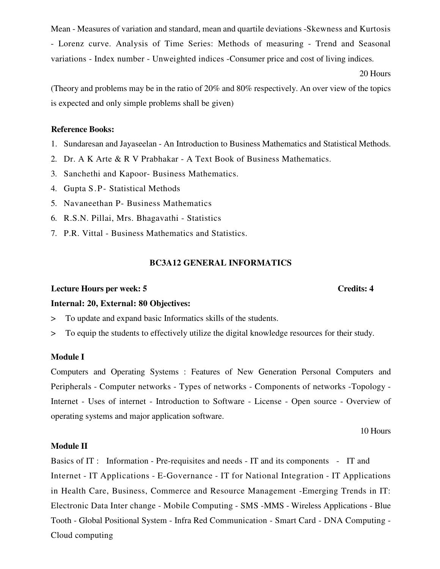Mean - Measures of variation and standard, mean and quartile deviations - Skewness and Kurtosis - Lorenz curve. Analysis of Time Series: Methods of measuring - Trend and Seasonal variations - Index number - Unweighted indices - Consumer price and cost of living indices.

20 Hours

(Theory and problems may be in the ratio of 20% and 80% respectively. An over view of the topics is expected and only simple problems shall be given)

#### **Reference Books:**

- 1. Sundaresan and Jayaseelan An Introduction to Business Mathematics and Statistical Methods.
- 2. Dr. A K Arte & R V Prabhakar A Text Book of Business Mathematics.
- 3. Sanchethi and Kapoor- Business Mathematics.
- 4. Gupta S.P Statistical Methods
- 5. Navaneethan P- Business Mathematics
- 6. R.S.N. Pillai, Mrs. Bhagavathi Statistics
- 7. P.R. Vittal Business Mathematics and Statistics.

### **BC3A12 GENERAL INFORMATICS**

### **Lecture Hours per week: 5**

### Internal: 20, External: 80 Objectives:

- To update and expand basic Informatics skills of the students.  $\geq$
- To equip the students to effectively utilize the digital knowledge resources for their study.  $\rm{>}$

### **Module I**

Computers and Operating Systems: Features of New Generation Personal Computers and Peripherals - Computer networks - Types of networks - Components of networks - Topology -Internet - Uses of internet - Introduction to Software - License - Open source - Overview of operating systems and major application software.

10 Hours

### **Module II**

Basics of IT: Information - Pre-requisites and needs - IT and its components - IT and Internet - IT Applications - E-Governance - IT for National Integration - IT Applications in Health Care, Business, Commerce and Resource Management -Emerging Trends in IT: Electronic Data Inter change - Mobile Computing - SMS - MMS - Wireless Applications - Blue Tooth - Global Positional System - Infra Red Communication - Smart Card - DNA Computing -Cloud computing

#### **Credits: 4**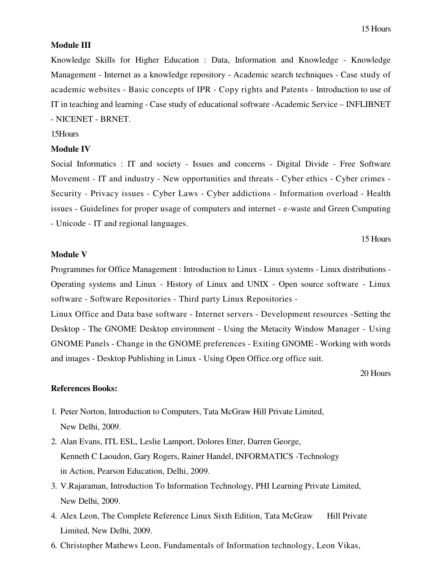#### **Module III**

Knowledge Skills for Higher Education : Data, Information and Knowledge - Knowledge Management - Internet as a knowledge repository - Academic search techniques - Case study of academic websites - Basic concepts of IPR - Copy rights and Patents - Introduction to use of IT in teaching and learning - Case study of educational software - Academic Service – INFLIBNET - NICENET - BRNET.

#### 15Hours

#### **Module IV**

Social Informatics : IT and society - Issues and concerns - Digital Divide - Free Software Movement - IT and industry - New opportunities and threats - Cyber ethics - Cyber crimes -Security - Privacy issues - Cyber Laws - Cyber addictions - Information overload - Health issues - Guidelines for proper usage of computers and internet - e-waste and Green Csmputing - Unicode - IT and regional languages.

15 Hours

#### **Module V**

Programmes for Office Management : Introduction to Linux - Linux systems - Linux distributions -Operating systems and Linux - History of Linux and UNIX - Open source software - Linux software - Software Repositories - Third party Linux Repositories -

Linux Office and Data base software - Internet servers - Development resources - Setting the Desktop - The GNOME Desktop environment - Using the Metacity Window Manager - Using GNOME Panels - Change in the GNOME preferences - Exiting GNOME - Working with words and images - Desktop Publishing in Linux - Using Open Office.org office suit.

20 Hours

#### **References Books:**

- 1. Peter Norton, Introduction to Computers, Tata McGraw Hill Private Limited, New Delhi, 2009.
- 2. Alan Evans, ITL ESL, Leslie Lamport, Dolores Etter, Darren George, Kenneth C Laoudon, Gary Rogers, Rainer Handel, INFORMATICS - Technology in Action, Pearson Education, Delhi, 2009.
- 3. V.Rajaraman, Introduction To Information Technology, PHI Learning Private Limited, New Delhi, 2009.
- 4. Alex Leon, The Complete Reference Linux Sixth Edition, Tata McGraw Hill Private Limited. New Delhi, 2009.
- 6. Christopher Mathews Leon, Fundamentals of Information technology, Leon Vikas,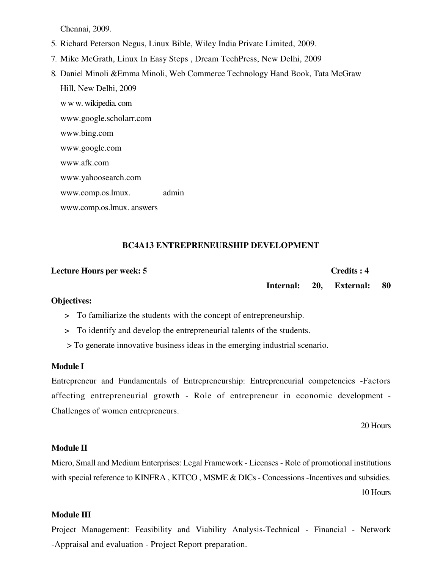Chennai, 2009.

- 5. Richard Peterson Negus, Linux Bible, Wiley India Private Limited, 2009.
- 7. Mike McGrath, Linux In Easy Steps, Dream TechPress, New Delhi, 2009
- 8. Daniel Minoli & Emma Minoli, Web Commerce Technology Hand Book, Tata McGraw Hill, New Delhi, 2009 w w w. wikipedia.com www.google.scholarr.com www.bing.com www.google.com www.afk.com www.yahoosearch.com www.comp.os.lmux. admin

#### Credits: 4 **Lecture Hours per week: 5** Internal: 20. 80 **External:**

**BC4A13 ENTREPRENEURSHIP DEVELOPMENT** 

#### **Objectives:**

www.comp.os.lmux. answers

- > To familiarize the students with the concept of entrepreneurship.
- > To identify and develop the entrepreneurial talents of the students.
- > To generate innovative business ideas in the emerging industrial scenario.

#### **Module I**

Entrepreneur and Fundamentals of Entrepreneurship: Entrepreneurial competencies -Factors affecting entrepreneurial growth - Role of entrepreneur in economic development -Challenges of women entrepreneurs.

20 Hours

#### **Module II**

Micro, Small and Medium Enterprises: Legal Framework - Licenses - Role of promotional institutions with special reference to KINFRA, KITCO, MSME & DICs - Concessions - Incentives and subsidies.

10 Hours

#### **Module III**

Project Management: Feasibility and Viability Analysis-Technical - Financial - Network -Appraisal and evaluation - Project Report preparation.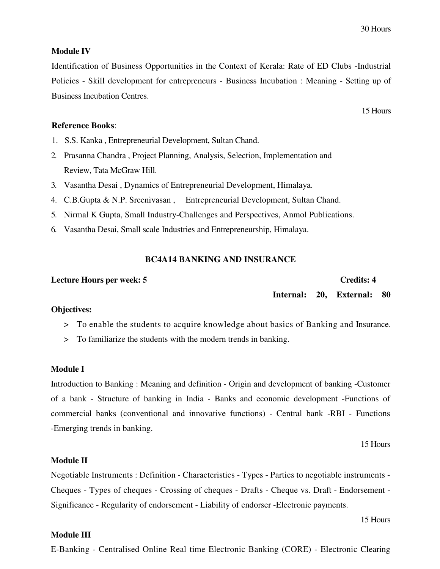15 Hours

#### **Module IV**

Identification of Business Opportunities in the Context of Kerala: Rate of ED Clubs -Industrial Policies - Skill development for entrepreneurs - Business Incubation : Meaning - Setting up of **Business Incubation Centres.** 

#### **Reference Books:**

- 1. S.S. Kanka, Entrepreneurial Development, Sultan Chand.
- 2. Prasanna Chandra, Project Planning, Analysis, Selection, Implementation and Review, Tata McGraw Hill.
- 3. Vasantha Desai, Dynamics of Entrepreneurial Development, Himalaya.
- 4. C.B.Gupta & N.P. Sreenivasan, Entrepreneurial Development, Sultan Chand.
- 5. Nirmal K Gupta, Small Industry-Challenges and Perspectives, Anmol Publications.
- 6. Vasantha Desai, Small scale Industries and Entrepreneurship, Himalaya.

#### **BC4A14 BANKING AND INSURANCE**

#### **Lecture Hours per week: 5**

# **Credits: 4**

Internal: 20. External: 80

#### **Objectives:**

- > To enable the students to acquire knowledge about basics of Banking and Insurance.
- > To familiarize the students with the modern trends in banking.

#### **Module I**

Introduction to Banking: Meaning and definition - Origin and development of banking - Customer of a bank - Structure of banking in India - Banks and economic development - Functions of commercial banks (conventional and innovative functions) - Central bank -RBI - Functions -Emerging trends in banking.

15 Hours

#### **Module II**

Negotiable Instruments : Definition - Characteristics - Types - Parties to negotiable instruments -Cheques - Types of cheques - Crossing of cheques - Drafts - Cheque vs. Draft - Endorsement -Significance - Regularity of endorsement - Liability of endorser - Electronic payments.

15 Hours

#### **Module III**

E-Banking - Centralised Online Real time Electronic Banking (CORE) - Electronic Clearing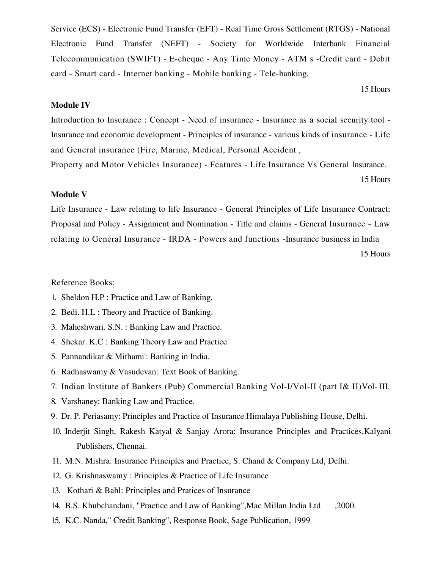Service (ECS) - Electronic Fund Transfer (EFT) - Real Time Gross Settlement (RTGS) - National Electronic Fund Transfer (NEFT) - Society for Worldwide Interbank Financial Telecommunication (SWIFT) - E-cheque - Any Time Money - ATM s -Credit card - Debit card - Smart card - Internet banking - Mobile banking - Tele-banking.

15 Hours

#### **Module IV**

Introduction to Insurance: Concept - Need of insurance - Insurance as a social security tool -Insurance and economic development - Principles of insurance - various kinds of insurance - Life and General insurance (Fire, Marine, Medical, Personal Accident,

Property and Motor Vehicles Insurance) - Features - Life Insurance Vs General Insurance.

15 Hours

## **Module V**

Life Insurance - Law relating to life Insurance - General Principles of Life Insurance Contract; Proposal and Policy - Assignment and Nomination - Title and claims - General Insurance - Law relating to General Insurance - IRDA - Powers and functions - Insurance business in India

15 Hours

#### Reference Books:

- 1. Sheldon H.P : Practice and Law of Banking.
- 2. Bedi. H.L : Theory and Practice of Banking.
- 3. Maheshwari. S.N. : Banking Law and Practice.
- 4. Shekar. K.C : Banking Theory Law and Practice.
- 5. Pannandikar & Mithami': Banking in India.
- 6. Radhaswamy & Vasudevan: Text Book of Banking.
- 7. Indian Institute of Bankers (Pub) Commercial Banking Vol-I/Vol-II (part I& II)Vol-III.
- 8. Varshaney: Banking Law and Practice.
- 9. Dr. P. Periasamy: Principles and Practice of Insurance Himalaya Publishing House, Delhi.
- 10. Inderjit Singh, Rakesh Katyal & Sanjay Arora: Insurance Principles and Practices, Kalyani Publishers, Chennai.
- 11. M.N. Mishra: Insurance Principles and Practice, S. Chand & Company Ltd, Delhi.
- 12. G. Krishnaswamy: Principles & Practice of Life Insurance
- 13. Kothari & Bahl: Principles and Pratices of Insurance
- 14. B.S. Khubchandani, "Practice and Law of Banking", Mac Millan India Ltd ,2000.
- 15. K.C. Nanda," Credit Banking", Response Book, Sage Publication, 1999